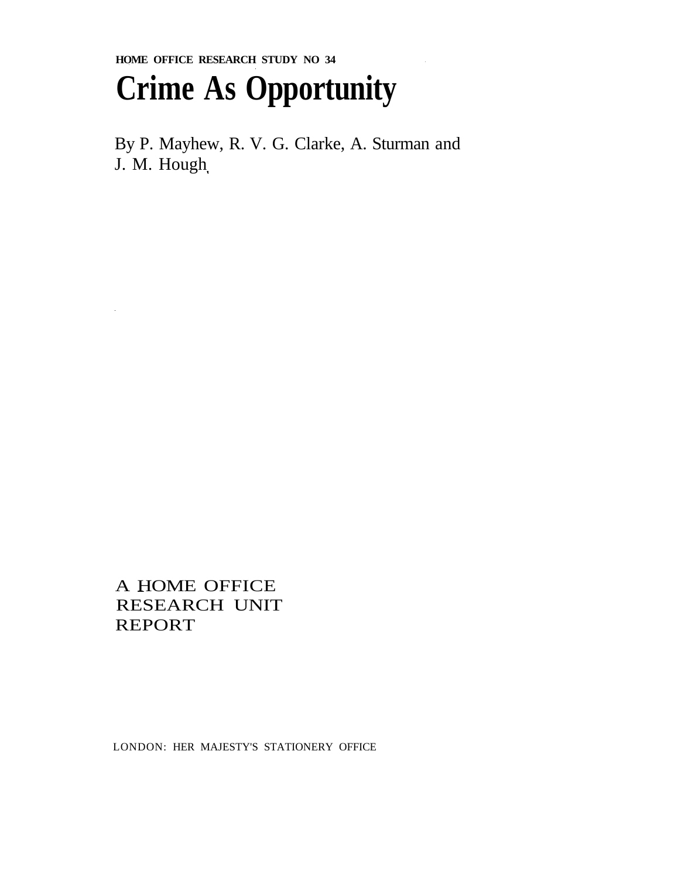**HOME OFFICE RESEARCH STUDY NO 34**

# **Crime As Opportunity**

By P. Mayhew, R. V. G. Clarke, A. Sturman and J. M. Hough

A HOME OFFICE RESEARCH UNIT REPORT

LONDON: HER MAJESTY'S STATIONERY OFFICE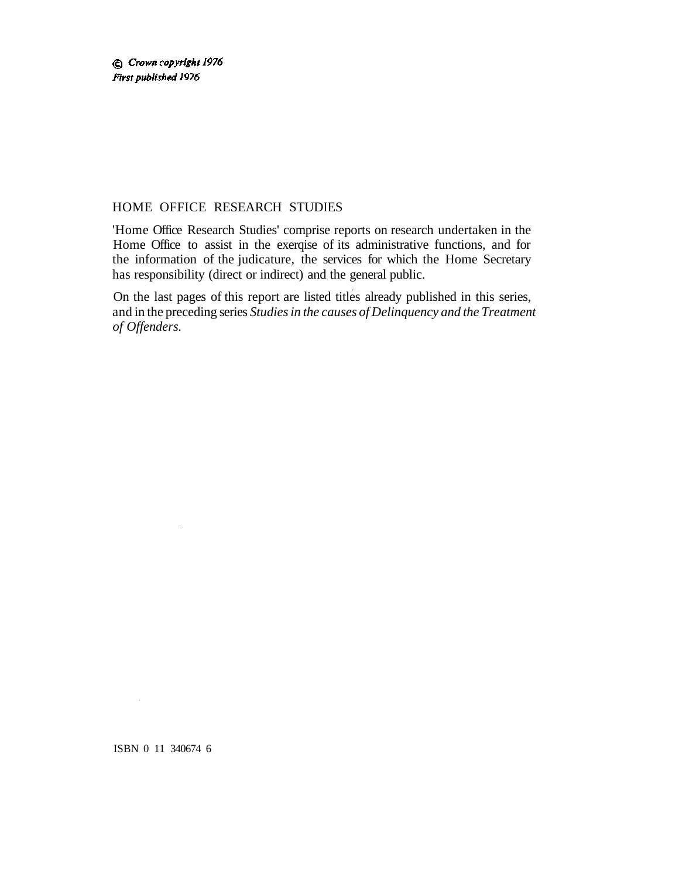C Crown copyright 1976 First published 1976

## HOME OFFICE RESEARCH STUDIES

'Home Office Research Studies' comprise reports on research undertaken in the Home Office to assist in the exerqise of its administrative functions, and for the information of the judicature, the services for which the Home Secretary has responsibility (direct or indirect) and the general public.

On the last pages of this report are listed titles already published in this series, and in the preceding series *Studies in the causes of Delinquency and the Treatment of Offenders.*

ISBN 0 11 340674 6

 $\sim 10^{-1}$ 

 $\sim$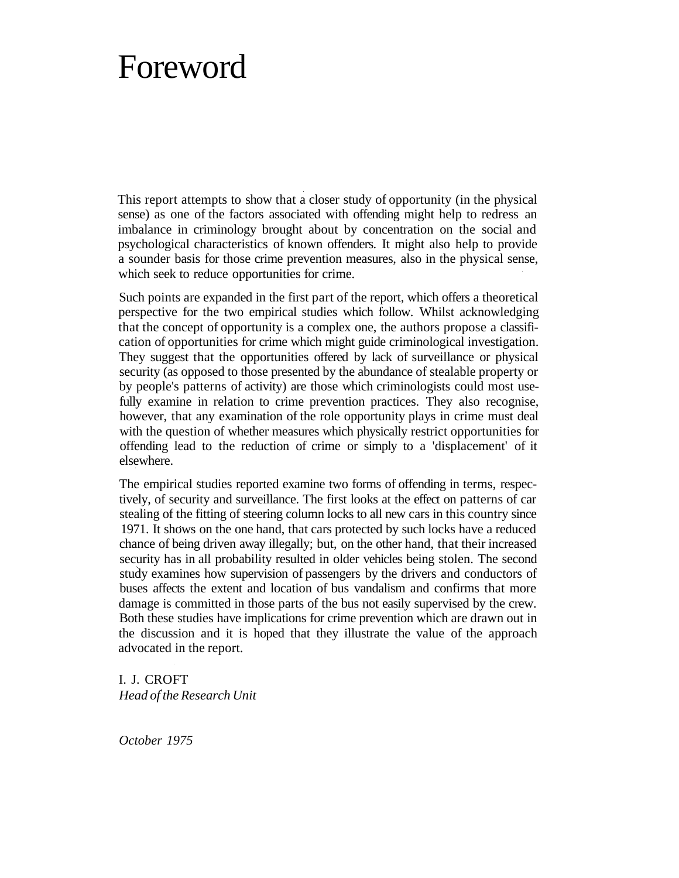## Foreword

This report attempts to show that a closer study of opportunity (in the physical sense) as one of the factors associated with offending might help to redress an imbalance in criminology brought about by concentration on the social and psychological characteristics of known offenders. It might also help to provide a sounder basis for those crime prevention measures, also in the physical sense, which seek to reduce opportunities for crime.

Such points are expanded in the first part of the report, which offers a theoretical perspective for the two empirical studies which follow. Whilst acknowledging that the concept of opportunity is a complex one, the authors propose a classification of opportunities for crime which might guide criminological investigation. They suggest that the opportunities offered by lack of surveillance or physical security (as opposed to those presented by the abundance of stealable property or by people's patterns of activity) are those which criminologists could most usefully examine in relation to crime prevention practices. They also recognise, however, that any examination of the role opportunity plays in crime must deal with the question of whether measures which physically restrict opportunities for offending lead to the reduction of crime or simply to a 'displacement' of it elsewhere.

The empirical studies reported examine two forms of offending in terms, respectively, of security and surveillance. The first looks at the effect on patterns of car stealing of the fitting of steering column locks to all new cars in this country since 1971. It shows on the one hand, that cars protected by such locks have a reduced chance of being driven away illegally; but, on the other hand, that their increased security has in all probability resulted in older vehicles being stolen. The second study examines how supervision of passengers by the drivers and conductors of buses affects the extent and location of bus vandalism and confirms that more damage is committed in those parts of the bus not easily supervised by the crew. Both these studies have implications for crime prevention which are drawn out in the discussion and it is hoped that they illustrate the value of the approach advocated in the report.

I. J. CROFT *Head of the Research Unit*

*October 1975*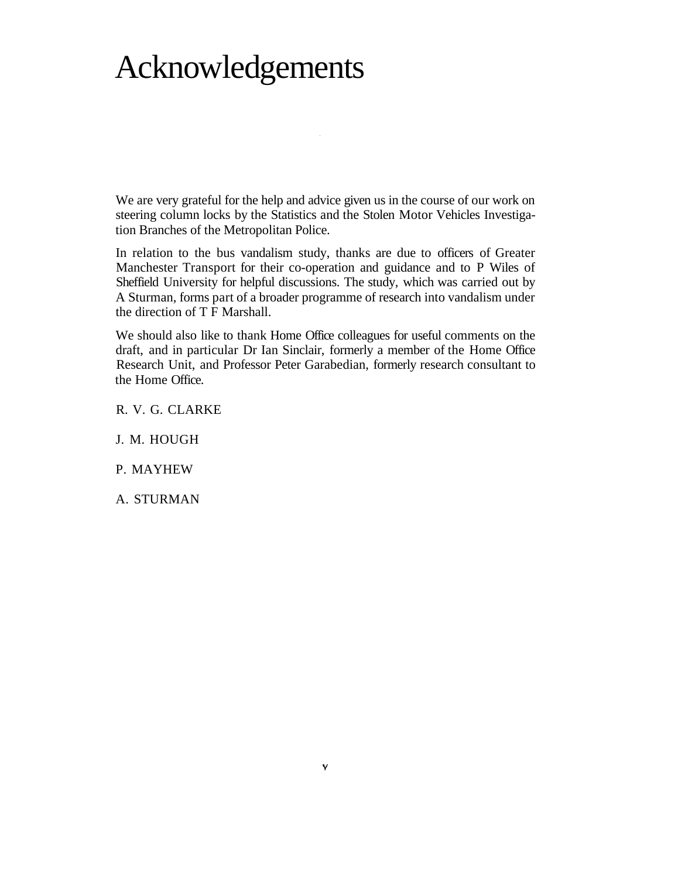## Acknowledgements

We are very grateful for the help and advice given us in the course of our work on steering column locks by the Statistics and the Stolen Motor Vehicles Investigation Branches of the Metropolitan Police.

In relation to the bus vandalism study, thanks are due to officers of Greater Manchester Transport for their co-operation and guidance and to P Wiles of Sheffield University for helpful discussions. The study, which was carried out by A Sturman, forms part of a broader programme of research into vandalism under the direction of T F Marshall.

We should also like to thank Home Office colleagues for useful comments on the draft, and in particular Dr Ian Sinclair, formerly a member of the Home Office Research Unit, and Professor Peter Garabedian, formerly research consultant to the Home Office.

R. V. G. CLARKE

J. M. HOUGH

P. MAYHEW

A. STURMAN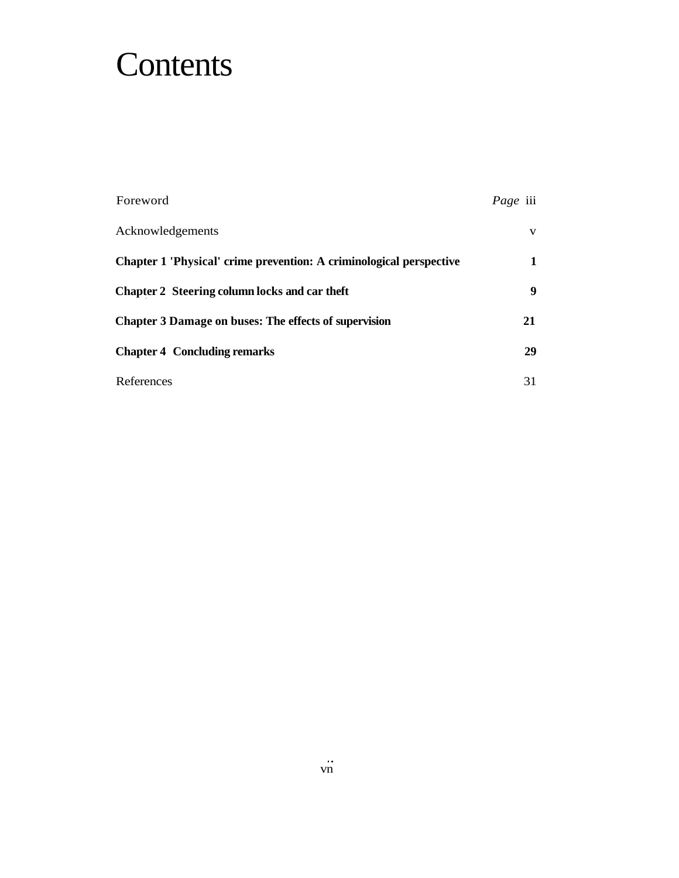# **Contents**

| Foreword                                                            | Page iii |
|---------------------------------------------------------------------|----------|
| Acknowledgements                                                    | V        |
| Chapter 1 'Physical' crime prevention: A criminological perspective | 1        |
| Chapter 2 Steering column locks and car theft                       | 9        |
| <b>Chapter 3 Damage on buses: The effects of supervision</b>        | 21       |
| <b>Chapter 4 Concluding remarks</b>                                 | 29       |
| References                                                          | 31       |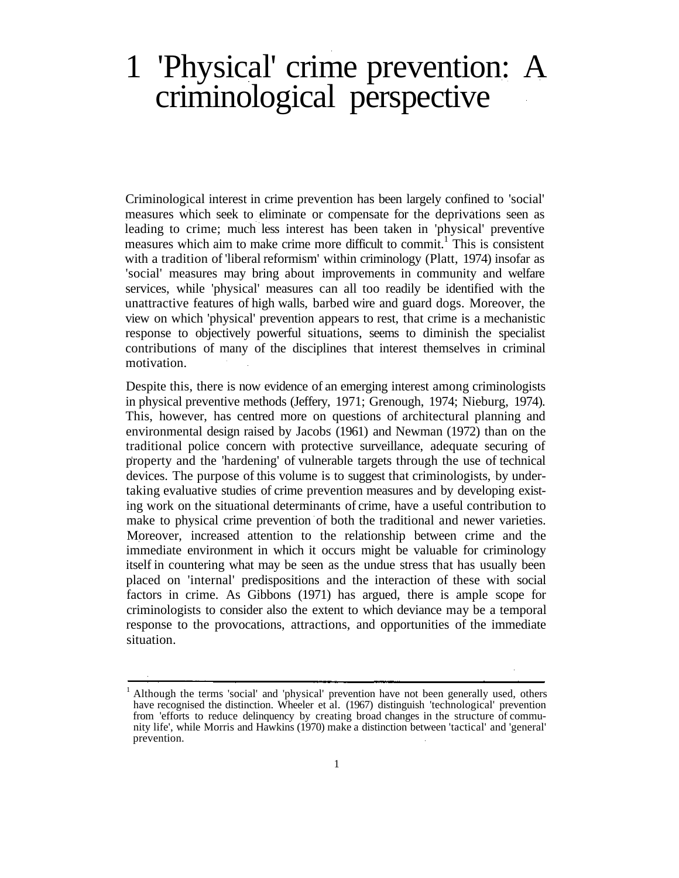## 1 'Physical' crime prevention: A criminological perspective

Criminological interest in crime prevention has been largely confined to 'social' measures which seek to eliminate or compensate for the deprivations seen as leading to crime; much less interest has been taken in 'physical' preventive measures which aim to make crime more difficult to commit.<sup>1</sup> This is consistent with a tradition of 'liberal reformism' within criminology (Platt, 1974) insofar as 'social' measures may bring about improvements in community and welfare services, while 'physical' measures can all too readily be identified with the unattractive features of high walls, barbed wire and guard dogs. Moreover, the view on which 'physical' prevention appears to rest, that crime is a mechanistic response to objectively powerful situations, seems to diminish the specialist contributions of many of the disciplines that interest themselves in criminal motivation.

Despite this, there is now evidence of an emerging interest among criminologists in physical preventive methods (Jeffery, 1971; Grenough, 1974; Nieburg, 1974). This, however, has centred more on questions of architectural planning and environmental design raised by Jacobs (1961) and Newman (1972) than on the traditional police concern with protective surveillance, adequate securing of property and the 'hardening' of vulnerable targets through the use of technical devices. The purpose of this volume is to suggest that criminologists, by undertaking evaluative studies of crime prevention measures and by developing existing work on the situational determinants of crime, have a useful contribution to make to physical crime prevention of both the traditional and newer varieties. Moreover, increased attention to the relationship between crime and the immediate environment in which it occurs might be valuable for criminology itself in countering what may be seen as the undue stress that has usually been placed on 'internal' predispositions and the interaction of these with social factors in crime. As Gibbons (1971) has argued, there is ample scope for criminologists to consider also the extent to which deviance may be a temporal response to the provocations, attractions, and opportunities of the immediate situation.

<sup>1</sup> Although the terms 'social' and 'physical' prevention have not been generally used, others have recognised the distinction. Wheeler et al. (1967) distinguish 'technological' prevention from 'efforts to reduce delinquency by creating broad changes in the structure of community life', while Morris and Hawkins (1970) make a distinction between 'tactical' and 'general' prevention.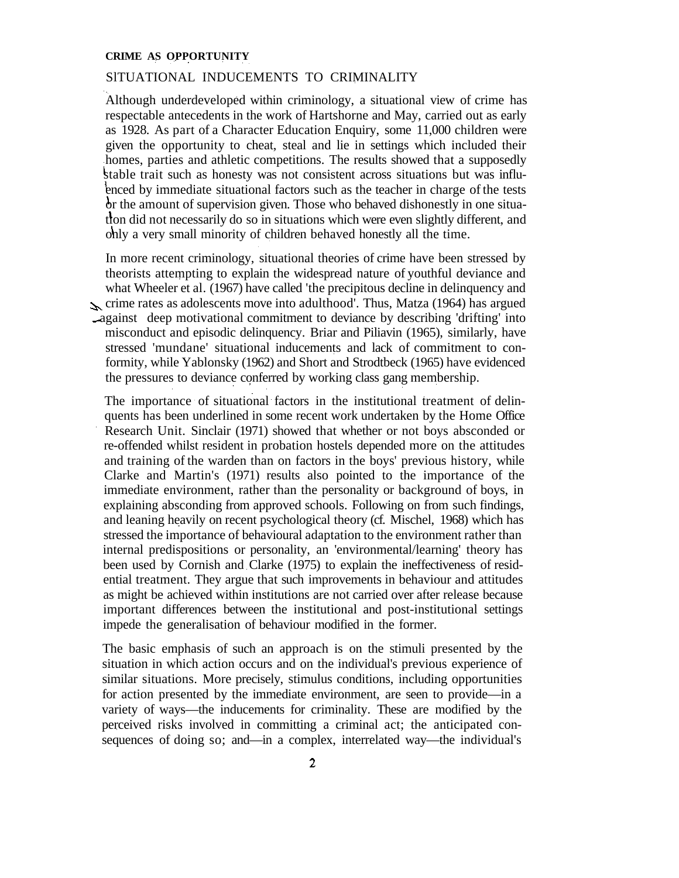## SlTUATIONAL INDUCEMENTS TO CRIMINALITY

Although underdeveloped within criminology, a situational view of crime has respectable antecedents in the work of Hartshorne and May, carried out as early as 1928. As part of a Character Education Enquiry, some 11,000 children were given the opportunity to cheat, steal and lie in settings which included their homes, parties and athletic competitions. The results showed that a supposedly stable trait such as honesty was not consistent across situations but was influenced by immediate situational factors such as the teacher in charge of the tests or the amount of supervision given. Those who behaved dishonestly in one situation did not necessarily do so in situations which were even slightly different, and only a very small minority of children behaved honestly all the time.

In more recent criminology, situational theories of crime have been stressed by theorists attempting to explain the widespread nature of youthful deviance and what Wheeler et al. (1967) have called 'the precipitous decline in delinquency and  $\infty$  crime rates as adolescents move into adulthood'. Thus, Matza (1964) has argued against deep motivational commitment to deviance by describing 'drifting' into misconduct and episodic delinquency. Briar and Piliavin (1965), similarly, have stressed 'mundane' situational inducements and lack of commitment to conformity, while Yablonsky (1962) and Short and Strodtbeck (1965) have evidenced the pressures to deviance conferred by working class gang membership.

The importance of situational factors in the institutional treatment of delinquents has been underlined in some recent work undertaken by the Home Office Research Unit. Sinclair (1971) showed that whether or not boys absconded or re-offended whilst resident in probation hostels depended more on the attitudes and training of the warden than on factors in the boys' previous history, while Clarke and Martin's (1971) results also pointed to the importance of the immediate environment, rather than the personality or background of boys, in explaining absconding from approved schools. Following on from such findings, and leaning heavily on recent psychological theory (cf. Mischel, 1968) which has stressed the importance of behavioural adaptation to the environment rather than internal predispositions or personality, an 'environmental/learning' theory has been used by Cornish and Clarke (1975) to explain the ineffectiveness of residential treatment. They argue that such improvements in behaviour and attitudes as might be achieved within institutions are not carried over after release because important differences between the institutional and post-institutional settings impede the generalisation of behaviour modified in the former.

The basic emphasis of such an approach is on the stimuli presented by the situation in which action occurs and on the individual's previous experience of similar situations. More precisely, stimulus conditions, including opportunities for action presented by the immediate environment, are seen to provide—in a variety of ways—the inducements for criminality. These are modified by the perceived risks involved in committing a criminal act; the anticipated consequences of doing so; and—in a complex, interrelated way—the individual's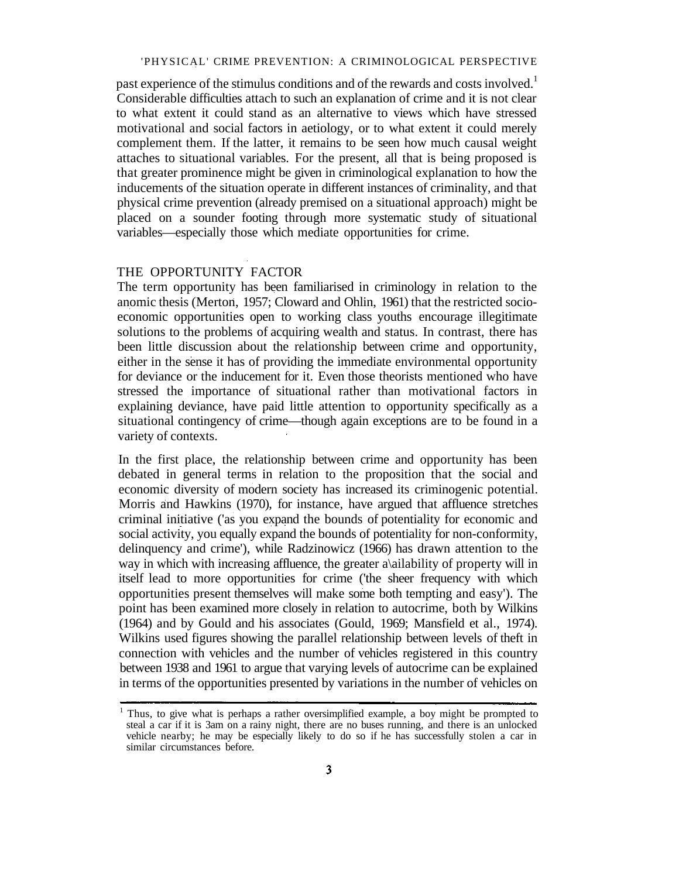## 'PHYSICAL' CRIME PREVENTION: A CRIMINOLOGICAL PERSPECTIVE

past experience of the stimulus conditions and of the rewards and costs involved.<sup>1</sup> Considerable difficulties attach to such an explanation of crime and it is not clear to what extent it could stand as an alternative to views which have stressed motivational and social factors in aetiology, or to what extent it could merely complement them. If the latter, it remains to be seen how much causal weight attaches to situational variables. For the present, all that is being proposed is that greater prominence might be given in criminological explanation to how the inducements of the situation operate in different instances of criminality, and that physical crime prevention (already premised on a situational approach) might be placed on a sounder footing through more systematic study of situational variables—especially those which mediate opportunities for crime.

## THE OPPORTUNITY FACTOR

The term opportunity has been familiarised in criminology in relation to the anomic thesis (Merton, 1957; Cloward and Ohlin, 1961) that the restricted socioeconomic opportunities open to working class youths encourage illegitimate solutions to the problems of acquiring wealth and status. In contrast, there has been little discussion about the relationship between crime and opportunity, either in the sense it has of providing the immediate environmental opportunity for deviance or the inducement for it. Even those theorists mentioned who have stressed the importance of situational rather than motivational factors in explaining deviance, have paid little attention to opportunity specifically as a situational contingency of crime—though again exceptions are to be found in a variety of contexts.

In the first place, the relationship between crime and opportunity has been debated in general terms in relation to the proposition that the social and economic diversity of modern society has increased its criminogenic potential. Morris and Hawkins (1970), for instance, have argued that affluence stretches criminal initiative ('as you expand the bounds of potentiality for economic and social activity, you equally expand the bounds of potentiality for non-conformity, delinquency and crime'), while Radzinowicz (1966) has drawn attention to the way in which with increasing affluence, the greater a\ailability of property will in itself lead to more opportunities for crime ('the sheer frequency with which opportunities present themselves will make some both tempting and easy'). The point has been examined more closely in relation to autocrime, both by Wilkins (1964) and by Gould and his associates (Gould, 1969; Mansfield et al., 1974). Wilkins used figures showing the parallel relationship between levels of theft in connection with vehicles and the number of vehicles registered in this country between 1938 and 1961 to argue that varying levels of autocrime can be explained in terms of the opportunities presented by variations in the number of vehicles on

<sup>&</sup>lt;sup>1</sup> Thus, to give what is perhaps a rather oversimplified example, a boy might be prompted to steal a car if it is 3am on a rainy night, there are no buses running, and there is an unlocked vehicle nearby; he may be especially likely to do so if he has successfully stolen a car in similar circumstances before.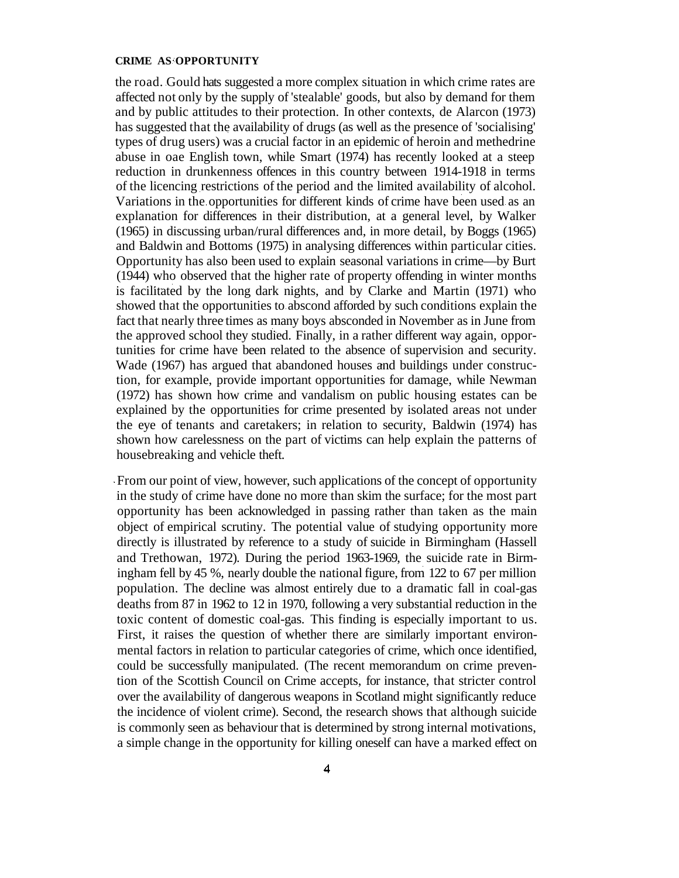the road. Gould hats suggested a more complex situation in which crime rates are affected not only by the supply of 'stealable' goods, but also by demand for them and by public attitudes to their protection. In other contexts, de Alarcon (1973) has suggested that the availability of drugs (as well as the presence of 'socialising' types of drug users) was a crucial factor in an epidemic of heroin and methedrine abuse in oae English town, while Smart (1974) has recently looked at a steep reduction in drunkenness offences in this country between 1914-1918 in terms of the licencing restrictions of the period and the limited availability of alcohol. Variations in the opportunities for different kinds of crime have been used as an explanation for differences in their distribution, at a general level, by Walker (1965) in discussing urban/rural differences and, in more detail, by Boggs (1965) and Baldwin and Bottoms (1975) in analysing differences within particular cities. Opportunity has also been used to explain seasonal variations in crime—by Burt (1944) who observed that the higher rate of property offending in winter months is facilitated by the long dark nights, and by Clarke and Martin (1971) who showed that the opportunities to abscond afforded by such conditions explain the fact that nearly three times as many boys absconded in November as in June from the approved school they studied. Finally, in a rather different way again, opportunities for crime have been related to the absence of supervision and security. Wade (1967) has argued that abandoned houses and buildings under construction, for example, provide important opportunities for damage, while Newman (1972) has shown how crime and vandalism on public housing estates can be explained by the opportunities for crime presented by isolated areas not under the eye of tenants and caretakers; in relation to security, Baldwin (1974) has shown how carelessness on the part of victims can help explain the patterns of housebreaking and vehicle theft.

From our point of view, however, such applications of the concept of opportunity in the study of crime have done no more than skim the surface; for the most part opportunity has been acknowledged in passing rather than taken as the main object of empirical scrutiny. The potential value of studying opportunity more directly is illustrated by reference to a study of suicide in Birmingham (Hassell and Trethowan, 1972). During the period 1963-1969, the suicide rate in Birmingham fell by 45 %, nearly double the national figure, from 122 to 67 per million population. The decline was almost entirely due to a dramatic fall in coal-gas deaths from 87 in 1962 to 12 in 1970, following a very substantial reduction in the toxic content of domestic coal-gas. This finding is especially important to us. First, it raises the question of whether there are similarly important environmental factors in relation to particular categories of crime, which once identified, could be successfully manipulated. (The recent memorandum on crime prevention of the Scottish Council on Crime accepts, for instance, that stricter control over the availability of dangerous weapons in Scotland might significantly reduce the incidence of violent crime). Second, the research shows that although suicide is commonly seen as behaviour that is determined by strong internal motivations, a simple change in the opportunity for killing oneself can have a marked effect on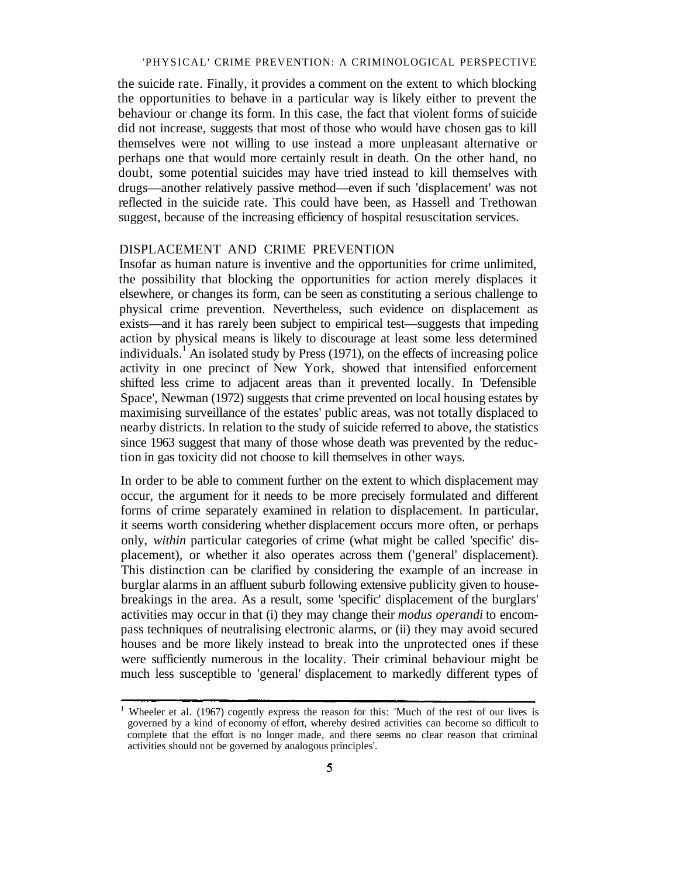the suicide rate. Finally, it provides a comment on the extent to which blocking the opportunities to behave in a particular way is likely either to prevent the behaviour or change its form. In this case, the fact that violent forms of suicide did not increase, suggests that most of those who would have chosen gas to kill themselves were not willing to use instead a more unpleasant alternative or perhaps one that would more certainly result in death. On the other hand, no doubt, some potential suicides may have tried instead to kill themselves with drugs—another relatively passive method—even if such 'displacement' was not reflected in the suicide rate. This could have been, as Hassell and Trethowan suggest, because of the increasing efficiency of hospital resuscitation services.

#### DISPLACEMENT AND CRIME PREVENTION

Insofar as human nature is inventive and the opportunities for crime unlimited, the possibility that blocking the opportunities for action merely displaces it elsewhere, or changes its form, can be seen as constituting a serious challenge to physical crime prevention. Nevertheless, such evidence on displacement as exists—and it has rarely been subject to empirical test—suggests that impeding action by physical means is likely to discourage at least some less determined individuals.<sup>1</sup> An isolated study by Press (1971), on the effects of increasing police activity in one precinct of New York, showed that intensified enforcement shifted less crime to adjacent areas than it prevented locally. In 'Defensible Space', Newman (1972) suggests that crime prevented on local housing estates by maximising surveillance of the estates' public areas, was not totally displaced to nearby districts. In relation to the study of suicide referred to above, the statistics since 1963 suggest that many of those whose death was prevented by the reduction in gas toxicity did not choose to kill themselves in other ways.

In order to be able to comment further on the extent to which displacement may occur, the argument for it needs to be more precisely formulated and different forms of crime separately examined in relation to displacement. In particular, it seems worth considering whether displacement occurs more often, or perhaps only, *within* particular categories of crime (what might be called 'specific' displacement), or whether it also operates across them ('general' displacement). This distinction can be clarified by considering the example of an increase in burglar alarms in an affluent suburb following extensive publicity given to housebreakings in the area. As a result, some 'specific' displacement of the burglars' activities may occur in that (i) they may change their *modus operandi* to encompass techniques of neutralising electronic alarms, or (ii) they may avoid secured houses and be more likely instead to break into the unprotected ones if these were sufficiently numerous in the locality. Their criminal behaviour might be much less susceptible to 'general' displacement to markedly different types of

<sup>&</sup>lt;sup>1</sup> Wheeler et al. (1967) cogently express the reason for this: 'Much of the rest of our lives is governed by a kind of economy of effort, whereby desired activities can become so difficult to complete that the effort is no longer made, and there seems no clear reason that criminal activities should not be governed by analogous principles'.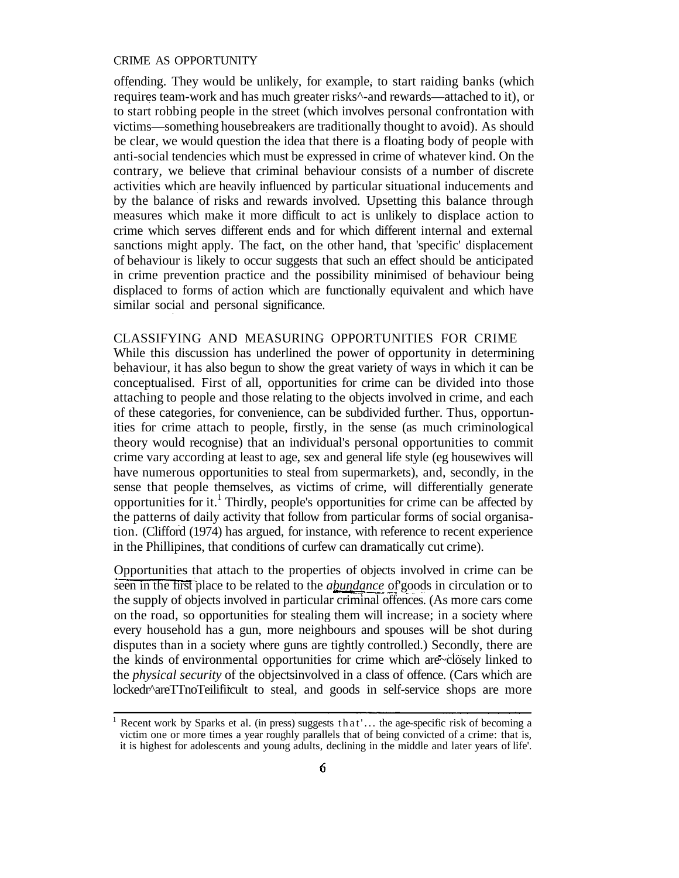offending. They would be unlikely, for example, to start raiding banks (which requires team-work and has much greater risks^-and rewards—attached to it), or to start robbing people in the street (which involves personal confrontation with victims—something housebreakers are traditionally thought to avoid). As should be clear, we would question the idea that there is a floating body of people with anti-social tendencies which must be expressed in crime of whatever kind. On the contrary, we believe that criminal behaviour consists of a number of discrete activities which are heavily influenced by particular situational inducements and by the balance of risks and rewards involved. Upsetting this balance through measures which make it more difficult to act is unlikely to displace action to crime which serves different ends and for which different internal and external sanctions might apply. The fact, on the other hand, that 'specific' displacement of behaviour is likely to occur suggests that such an effect should be anticipated in crime prevention practice and the possibility minimised of behaviour being displaced to forms of action which are functionally equivalent and which have similar social and personal significance.

## CLASSIFYING AND MEASURING OPPORTUNITIES FOR CRIME

While this discussion has underlined the power of opportunity in determining behaviour, it has also begun to show the great variety of ways in which it can be conceptualised. First of all, opportunities for crime can be divided into those attaching to people and those relating to the objects involved in crime, and each of these categories, for convenience, can be subdivided further. Thus, opportunities for crime attach to people, firstly, in the sense (as much criminological theory would recognise) that an individual's personal opportunities to commit crime vary according at least to age, sex and general life style (eg housewives will have numerous opportunities to steal from supermarkets), and, secondly, in the sense that people themselves, as victims of crime, will differentially generate opportunities for it.<sup>1</sup> Thirdly, people's opportunities for crime can be affected by the patterns of daily activity that follow from particular forms of social organisation. (Clifford (1974) has argued, for instance, with reference to recent experience in the Phillipines, that conditions of curfew can dramatically cut crime).

Opportunities that attach to the properties of objects involved in crime can be seen in the first place to be related to the *abundance* of'goods in circulation or to the supply of objects involved in particular criminal offences. (As more cars come on the road, so opportunities for stealing them will increase; in a society where every household has a gun, more neighbours and spouses will be shot during disputes than in a society where guns are tightly controlled.) Secondly, there are the kinds of environmental opportunities for crime which are~closely linked to the *physical security* of the objectsinvolved in a class of offence. (Cars which are lockedr^areTTnoTeilifiicult to steal, and goods in self-service shops are more

<sup>1</sup> Recent work by Sparks et al. (in press) suggests that'.. . the age-specific risk of becoming a victim one or more times a year roughly parallels that of being convicted of a crime: that is, it is highest for adolescents and young adults, declining in the middle and later years of life'.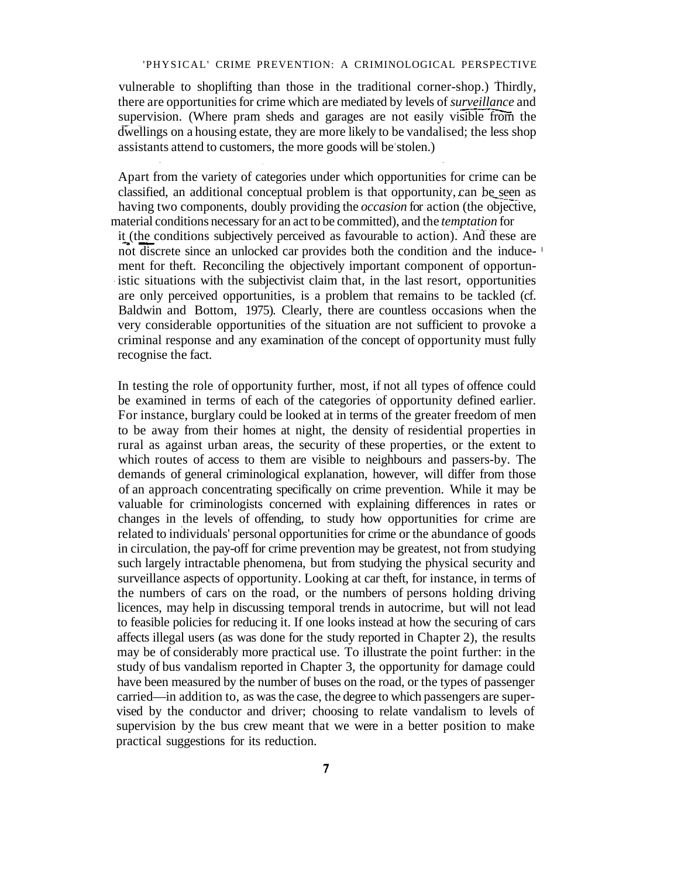### 'PHYSICAL' CRIME PREVENTION: A CRIMINOLOGICAL PERSPECTIVE

vulnerable to shoplifting than those in the traditional corner-shop.) Thirdly, there are opportunities for crime which are mediated by levels of *surveillance* and supervision. (Where pram sheds and garages are not easily visible from the dwellings on a housing estate, they are more likely to be vandalised; the less shop assistants attend to customers, the more goods will be stolen.)

Apart from the variety of categories under which opportunities for crime can be classified, an additional conceptual problem is that opportunity, can be seen as having two components, doubly providing the *occasion* for action (the objective, material conditions necessary for an act to be committed), and the *temptation* for

it (the conditions subjectively perceived as favourable to action). And these are not discrete since an unlocked car provides both the condition and the inducement for theft. Reconciling the objectively important component of opportunistic situations with the subjectivist claim that, in the last resort, opportunities are only perceived opportunities, is a problem that remains to be tackled (cf. Baldwin and Bottom, 1975). Clearly, there are countless occasions when the very considerable opportunities of the situation are not sufficient to provoke a criminal response and any examination of the concept of opportunity must fully recognise the fact.

In testing the role of opportunity further, most, if not all types of offence could be examined in terms of each of the categories of opportunity defined earlier. For instance, burglary could be looked at in terms of the greater freedom of men to be away from their homes at night, the density of residential properties in rural as against urban areas, the security of these properties, or the extent to which routes of access to them are visible to neighbours and passers-by. The demands of general criminological explanation, however, will differ from those of an approach concentrating specifically on crime prevention. While it may be valuable for criminologists concerned with explaining differences in rates or changes in the levels of offending, to study how opportunities for crime are related to individuals' personal opportunities for crime or the abundance of goods in circulation, the pay-off for crime prevention may be greatest, not from studying such largely intractable phenomena, but from studying the physical security and surveillance aspects of opportunity. Looking at car theft, for instance, in terms of the numbers of cars on the road, or the numbers of persons holding driving licences, may help in discussing temporal trends in autocrime, but will not lead to feasible policies for reducing it. If one looks instead at how the securing of cars affects illegal users (as was done for the study reported in Chapter 2), the results may be of considerably more practical use. To illustrate the point further: in the study of bus vandalism reported in Chapter 3, the opportunity for damage could have been measured by the number of buses on the road, or the types of passenger carried—in addition to, as was the case, the degree to which passengers are supervised by the conductor and driver; choosing to relate vandalism to levels of supervision by the bus crew meant that we were in a better position to make practical suggestions for its reduction.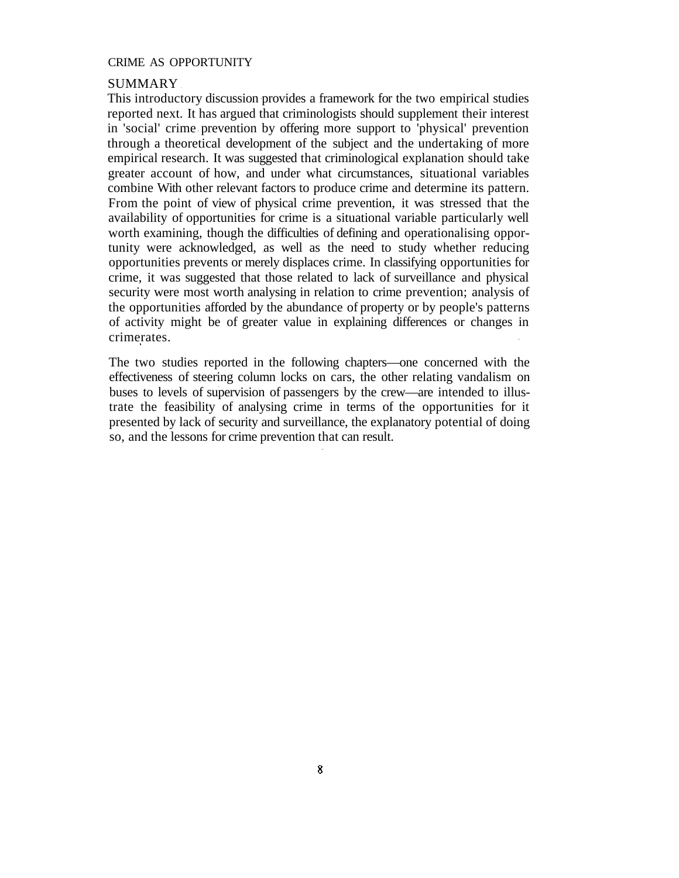## SUMMARY

This introductory discussion provides a framework for the two empirical studies reported next. It has argued that criminologists should supplement their interest in 'social' crime prevention by offering more support to 'physical' prevention through a theoretical development of the subject and the undertaking of more empirical research. It was suggested that criminological explanation should take greater account of how, and under what circumstances, situational variables combine With other relevant factors to produce crime and determine its pattern. From the point of view of physical crime prevention, it was stressed that the availability of opportunities for crime is a situational variable particularly well worth examining, though the difficulties of defining and operationalising opportunity were acknowledged, as well as the need to study whether reducing opportunities prevents or merely displaces crime. In classifying opportunities for crime, it was suggested that those related to lack of surveillance and physical security were most worth analysing in relation to crime prevention; analysis of the opportunities afforded by the abundance of property or by people's patterns of activity might be of greater value in explaining differences or changes in crimerates.

The two studies reported in the following chapters—one concerned with the effectiveness of steering column locks on cars, the other relating vandalism on buses to levels of supervision of passengers by the crew—are intended to illustrate the feasibility of analysing crime in terms of the opportunities for it presented by lack of security and surveillance, the explanatory potential of doing so, and the lessons for crime prevention that can result.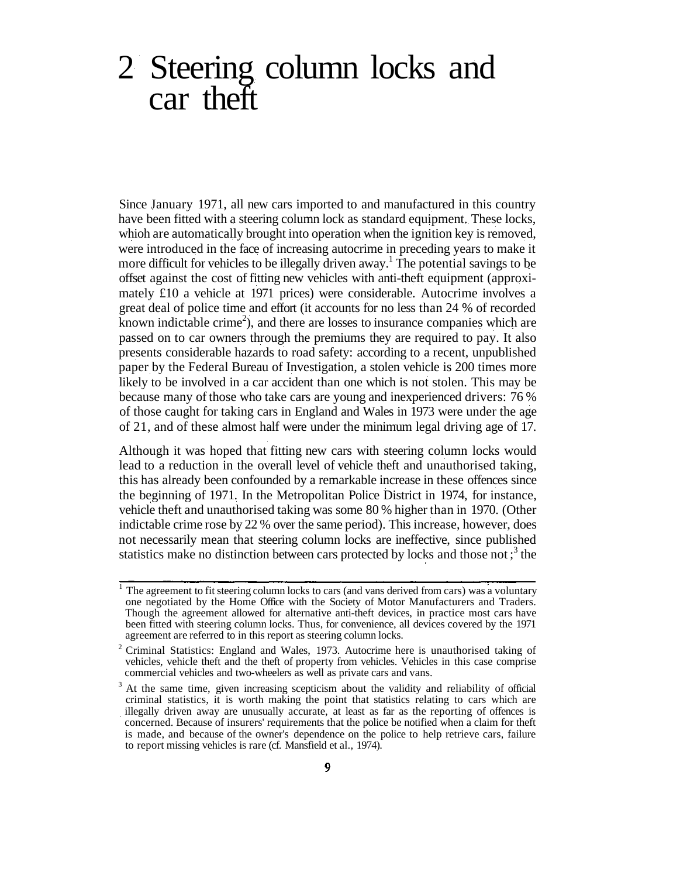## 2 Steering column locks and car theft

Since January 1971, all new cars imported to and manufactured in this country have been fitted with a steering column lock as standard equipment. These locks, whioh are automatically brought into operation when the ignition key is removed, were introduced in the face of increasing autocrime in preceding years to make it more difficult for vehicles to be illegally driven away.<sup>1</sup> The potential savings to be offset against the cost of fitting new vehicles with anti-theft equipment (approximately £10 a vehicle at 1971 prices) were considerable. Autocrime involves a great deal of police time and effort (it accounts for no less than 24 % of recorded known indictable crime<sup>2</sup>), and there are losses to insurance companies which are passed on to car owners through the premiums they are required to pay. It also presents considerable hazards to road safety: according to a recent, unpublished paper by the Federal Bureau of Investigation, a stolen vehicle is 200 times more likely to be involved in a car accident than one which is not stolen. This may be because many of those who take cars are young and inexperienced drivers: 76 % of those caught for taking cars in England and Wales in 1973 were under the age of 21, and of these almost half were under the minimum legal driving age of 17.

Although it was hoped that fitting new cars with steering column locks would lead to a reduction in the overall level of vehicle theft and unauthorised taking, this has already been confounded by a remarkable increase in these offences since the beginning of 1971. In the Metropolitan Police District in 1974, for instance, vehicle theft and unauthorised taking was some 80 % higher than in 1970. (Other indictable crime rose by 22 % over the same period). This increase, however, does not necessarily mean that steering column locks are ineffective, since published statistics make no distinction between cars protected by locks and those not;<sup>3</sup> the

<sup>&</sup>lt;sup>1</sup> The agreement to fit steering column locks to cars (and vans derived from cars) was a voluntary one negotiated by the Home Office with the Society of Motor Manufacturers and Traders. Though the agreement allowed for alternative anti-theft devices, in practice most cars have been fitted with steering column locks. Thus, for convenience, all devices covered by the 1971 agreement are referred to in this report as steering column locks.

 $2$  Criminal Statistics: England and Wales, 1973. Autocrime here is unauthorised taking of vehicles, vehicle theft and the theft of property from vehicles. Vehicles in this case comprise commercial vehicles and two-wheelers as well as private cars and vans.

<sup>&</sup>lt;sup>3</sup> At the same time, given increasing scepticism about the validity and reliability of official criminal statistics, it is worth making the point that statistics relating to cars which are illegally driven away are unusually accurate, at least as far as the reporting of offences is concerned. Because of insurers' requirements that the police be notified when a claim for theft is made, and because of the owner's dependence on the police to help retrieve cars, failure to report missing vehicles is rare (cf. Mansfield et al., 1974).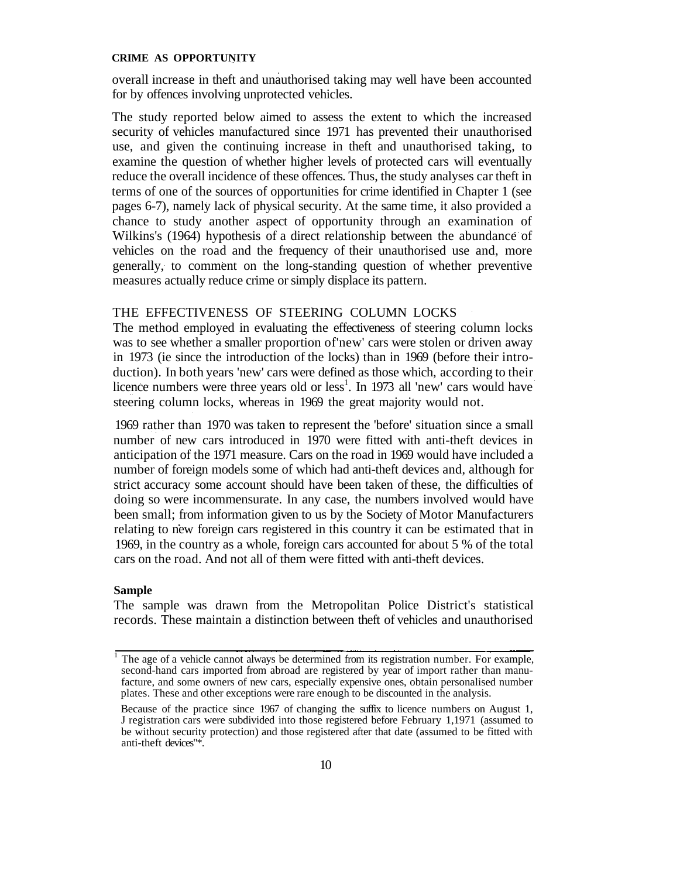overall increase in theft and unauthorised taking may well have been accounted for by offences involving unprotected vehicles.

The study reported below aimed to assess the extent to which the increased security of vehicles manufactured since 1971 has prevented their unauthorised use, and given the continuing increase in theft and unauthorised taking, to examine the question of whether higher levels of protected cars will eventually reduce the overall incidence of these offences. Thus, the study analyses car theft in terms of one of the sources of opportunities for crime identified in Chapter 1 (see pages 6-7), namely lack of physical security. At the same time, it also provided a chance to study another aspect of opportunity through an examination of Wilkins's (1964) hypothesis of a direct relationship between the abundance of vehicles on the road and the frequency of their unauthorised use and, more generally, to comment on the long-standing question of whether preventive measures actually reduce crime or simply displace its pattern.

## THE EFFECTIVENESS OF STEERING COLUMN LOCKS

The method employed in evaluating the effectiveness of steering column locks was to see whether a smaller proportion of'new' cars were stolen or driven away in 1973 (ie since the introduction of the locks) than in 1969 (before their introduction). In both years 'new' cars were defined as those which, according to their licence numbers were three years old or less<sup>1</sup>. In 1973 all 'new' cars would have steering column locks, whereas in 1969 the great majority would not.

1969 rather than 1970 was taken to represent the 'before' situation since a small number of new cars introduced in 1970 were fitted with anti-theft devices in anticipation of the 1971 measure. Cars on the road in 1969 would have included a number of foreign models some of which had anti-theft devices and, although for strict accuracy some account should have been taken of these, the difficulties of doing so were incommensurate. In any case, the numbers involved would have been small; from information given to us by the Society of Motor Manufacturers relating to new foreign cars registered in this country it can be estimated that in 1969, in the country as a whole, foreign cars accounted for about 5 % of the total cars on the road. And not all of them were fitted with anti-theft devices.

## **Sample**

The sample was drawn from the Metropolitan Police District's statistical records. These maintain a distinction between theft of vehicles and unauthorised

<sup>1</sup> The age of a vehicle cannot always be determined from its registration number. For example, second-hand cars imported from abroad are registered by year of import rather than manufacture, and some owners of new cars, especially expensive ones, obtain personalised number plates. These and other exceptions were rare enough to be discounted in the analysis.

Because of the practice since 1967 of changing the suffix to licence numbers on August 1, J registration cars were subdivided into those registered before February 1,1971 (assumed to be without security protection) and those registered after that date (assumed to be fitted with anti-theft devices"\*.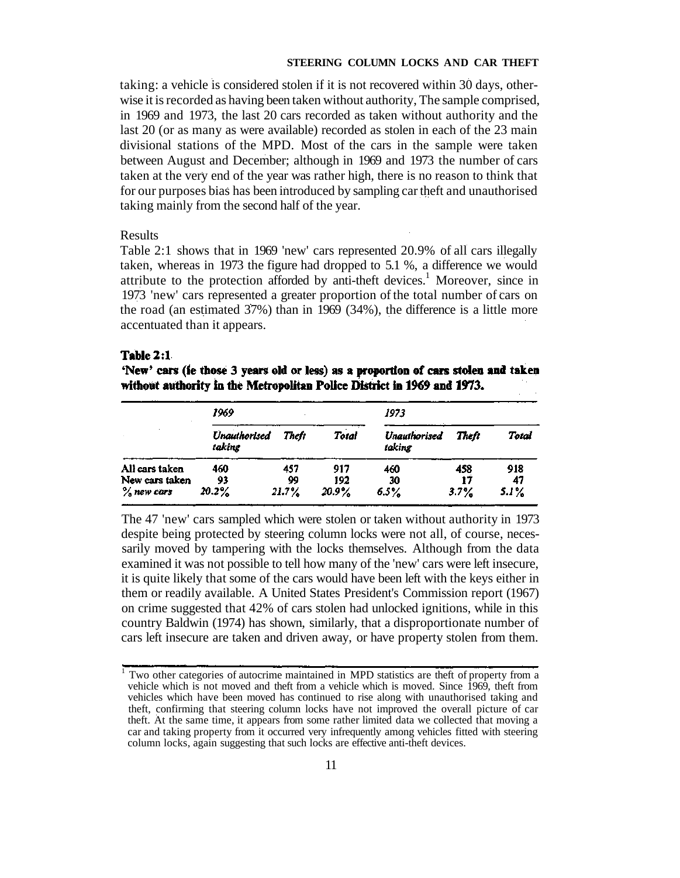## **STEERING COLUMN LOCKS AND CAR THEFT**

taking: a vehicle is considered stolen if it is not recovered within 30 days, otherwise it is recorded as having been taken without authority, The sample comprised, in 1969 and 1973, the last 20 cars recorded as taken without authority and the last 20 (or as many as were available) recorded as stolen in each of the 23 main divisional stations of the MPD. Most of the cars in the sample were taken between August and December; although in 1969 and 1973 the number of cars taken at the very end of the year was rather high, there is no reason to think that for our purposes bias has been introduced by sampling car theft and unauthorised taking mainly from the second half of the year.

#### Results

Table 2:1 shows that in 1969 'new' cars represented 20.9% of all cars illegally taken, whereas in 1973 the figure had dropped to 5.1 %, a difference we would attribute to the protection afforded by anti-theft devices.<sup>1</sup> Moreover, since in 1973 'new' cars represented a greater proportion of the total number of cars on the road (an estimated  $37\%$ ) than in 1969 (34%), the difference is a little more accentuated than it appears.

### **Table 2:1**

'New' cars (ie those 3 years old or less) as a proportion of cars stolen and taken without authority in the Metropolitan Police District in 1969 and 1973.

|                | 1969                          |       |       | 1973                   |       |       |
|----------------|-------------------------------|-------|-------|------------------------|-------|-------|
|                | <b>Unauthorised</b><br>taking | Theft | Total | Unauthorised<br>taking | Theft | Total |
| All cars taken | 460                           | 457   | 917   | 460                    | 458   | 918   |
| New cars taken | 93                            | 99    | 192   | 30                     | 17    | 47    |
| $\%$ new cars  | $20.2\%$                      | 21.7% | 20.9% | 6.5%                   | 3.7%  | 5.1%  |

The 47 'new' cars sampled which were stolen or taken without authority in 1973 despite being protected by steering column locks were not all, of course, necessarily moved by tampering with the locks themselves. Although from the data examined it was not possible to tell how many of the 'new' cars were left insecure, it is quite likely that some of the cars would have been left with the keys either in them or readily available. A United States President's Commission report (1967) on crime suggested that 42% of cars stolen had unlocked ignitions, while in this country Baldwin (1974) has shown, similarly, that a disproportionate number of cars left insecure are taken and driven away, or have property stolen from them.

<sup>&</sup>lt;sup>1</sup> Two other categories of autocrime maintained in MPD statistics are theft of property from a vehicle which is not moved and theft from a vehicle which is moved. Since 1969, theft from vehicles which have been moved has continued to rise along with unauthorised taking and theft, confirming that steering column locks have not improved the overall picture of car theft. At the same time, it appears from some rather limited data we collected that moving a car and taking property from it occurred very infrequently among vehicles fitted with steering column locks, again suggesting that such locks are effective anti-theft devices.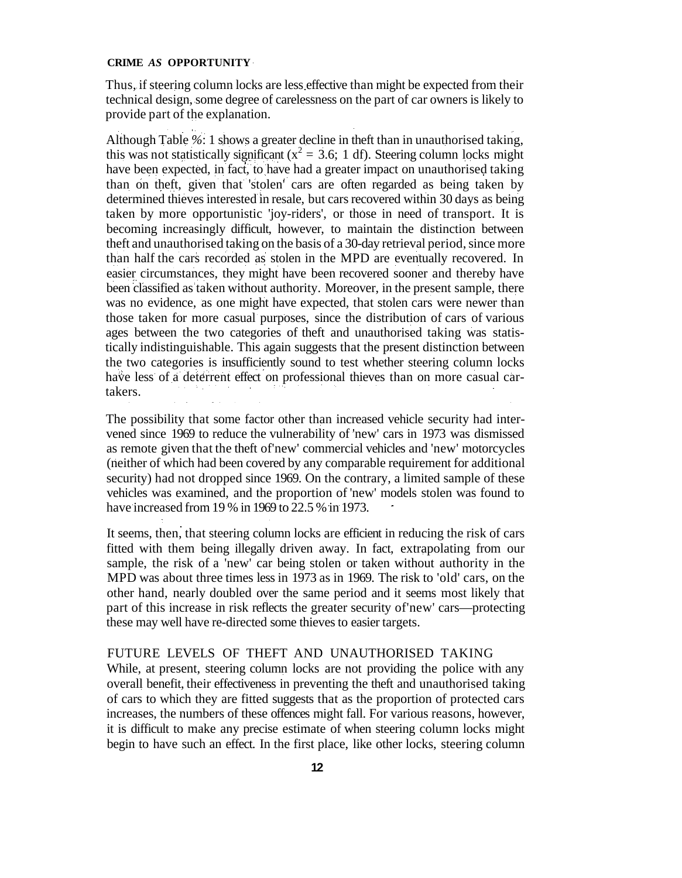Thus, if steering column locks are less effective than might be expected from their technical design, some degree of carelessness on the part of car owners is likely to provide part of the explanation.

Although Table *%*: 1 shows a greater decline in theft than in unauthorised taking, this was not statistically significant ( $x^2 = 3.6$ ; 1 df). Steering column locks might have been expected, in fact, to have had a greater impact on unauthorised taking than on theft, given that 'stolen' cars are often regarded as being taken by determined thieves interested in resale, but cars recovered within 30 days as being taken by more opportunistic 'joy-riders', or those in need of transport. It is becoming increasingly difficult, however, to maintain the distinction between theft and unauthorised taking on the basis of a 30-day retrieval period, since more than half the cars recorded as stolen in the MPD are eventually recovered. In easier circumstances, they might have been recovered sooner and thereby have been classified as taken without authority. Moreover, in the present sample, there was no evidence, as one might have expected, that stolen cars were newer than those taken for more casual purposes, since the distribution of cars of various ages between the two categories of theft and unauthorised taking was statistically indistinguishable. This again suggests that the present distinction between the two categories is insufficiently sound to test whether steering column locks have less of a deterrent effect on professional thieves than on more casual cartakers.

The possibility that some factor other than increased vehicle security had intervened since 1969 to reduce the vulnerability of 'new' cars in 1973 was dismissed as remote given that the theft of'new' commercial vehicles and 'new' motorcycles (neither of which had been covered by any comparable requirement for additional security) had not dropped since 1969. On the contrary, a limited sample of these vehicles was examined, and the proportion of 'new' models stolen was found to have increased from 19 % in 1969 to 22.5 % in 1973.

It seems, then, that steering column locks are efficient in reducing the risk of cars fitted with them being illegally driven away. In fact, extrapolating from our sample, the risk of a 'new' car being stolen or taken without authority in the MPD was about three times less in 1973 as in 1969. The risk to 'old' cars, on the other hand, nearly doubled over the same period and it seems most likely that part of this increase in risk reflects the greater security of'new' cars—protecting these may well have re-directed some thieves to easier targets.

## FUTURE LEVELS OF THEFT AND UNAUTHORISED TAKING

While, at present, steering column locks are not providing the police with any overall benefit, their effectiveness in preventing the theft and unauthorised taking of cars to which they are fitted suggests that as the proportion of protected cars increases, the numbers of these offences might fall. For various reasons, however, it is difficult to make any precise estimate of when steering column locks might begin to have such an effect. In the first place, like other locks, steering column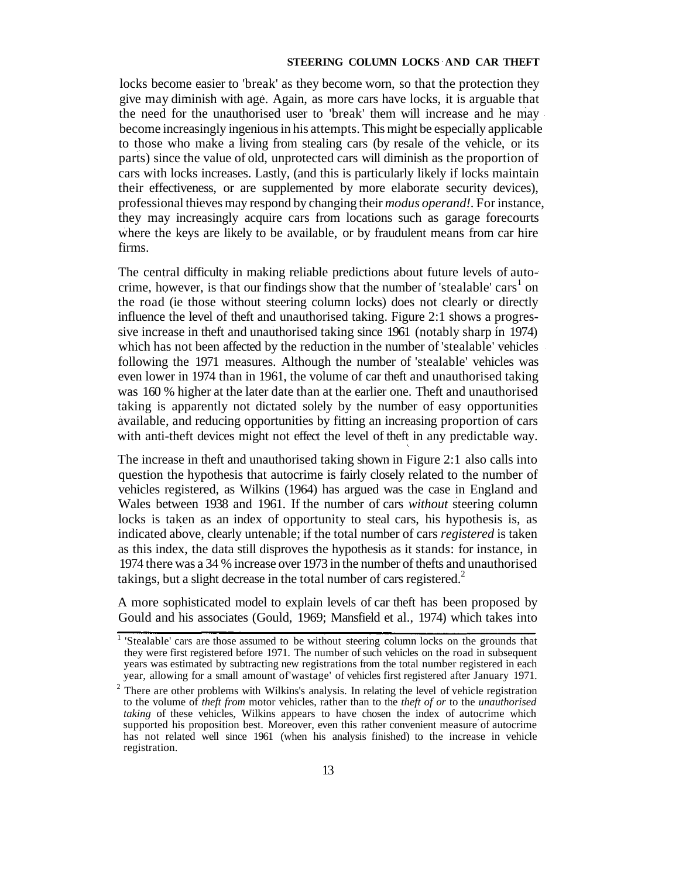### **STEERING COLUMN LOCKS AND CAR THEFT**

locks become easier to 'break' as they become worn, so that the protection they give may diminish with age. Again, as more cars have locks, it is arguable that the need for the unauthorised user to 'break' them will increase and he may become increasingly ingenious in his attempts. This might be especially applicable to those who make a living from stealing cars (by resale of the vehicle, or its parts) since the value of old, unprotected cars will diminish as the proportion of cars with locks increases. Lastly, (and this is particularly likely if locks maintain their effectiveness, or are supplemented by more elaborate security devices), professional thieves may respond by changing their *modus operand!.* For instance, they may increasingly acquire cars from locations such as garage forecourts where the keys are likely to be available, or by fraudulent means from car hire firms.

The central difficulty in making reliable predictions about future levels of autocrime, however, is that our findings show that the number of 'stealable' cars<sup>1</sup> on the road (ie those without steering column locks) does not clearly or directly influence the level of theft and unauthorised taking. Figure 2:1 shows a progressive increase in theft and unauthorised taking since 1961 (notably sharp in 1974) which has not been affected by the reduction in the number of 'stealable' vehicles following the 1971 measures. Although the number of 'stealable' vehicles was even lower in 1974 than in 1961, the volume of car theft and unauthorised taking was 160 % higher at the later date than at the earlier one. Theft and unauthorised taking is apparently not dictated solely by the number of easy opportunities available, and reducing opportunities by fitting an increasing proportion of cars with anti-theft devices might not effect the level of theft in any predictable way.

The increase in theft and unauthorised taking shown in Figure 2:1 also calls into question the hypothesis that autocrime is fairly closely related to the number of vehicles registered, as Wilkins (1964) has argued was the case in England and Wales between 1938 and 1961. If the number of cars *without* steering column locks is taken as an index of opportunity to steal cars, his hypothesis is, as indicated above, clearly untenable; if the total number of cars *registered* is taken as this index, the data still disproves the hypothesis as it stands: for instance, in 1974 there was a 34 % increase over 1973 in the number of thefts and unauthorised takings, but a slight decrease in the total number of cars registered.<sup>2</sup>

A more sophisticated model to explain levels of car theft has been proposed by Gould and his associates (Gould, 1969; Mansfield et al., 1974) which takes into

<sup>&</sup>lt;sup>1</sup> 'Stealable' cars are those assumed to be without steering column locks on the grounds that they were first registered before 1971. The number of such vehicles on the road in subsequent years was estimated by subtracting new registrations from the total number registered in each year, allowing for a small amount of'wastage' of vehicles first registered after January 1971.

 $2$  There are other problems with Wilkins's analysis. In relating the level of vehicle registration to the volume of *theft from* motor vehicles, rather than to the *theft of or* to the *unauthorised taking* of these vehicles, Wilkins appears to have chosen the index of autocrime which supported his proposition best. Moreover, even this rather convenient measure of autocrime has not related well since 1961 (when his analysis finished) to the increase in vehicle registration.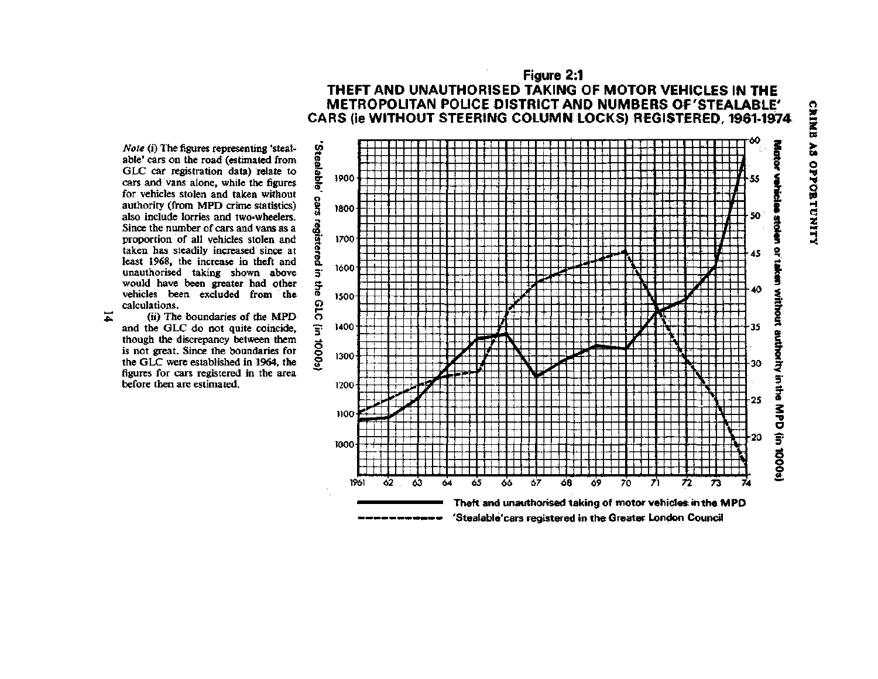Note (i) The figures representing 'stealable' cars on the road (estimated from GLC car registration data) relate to cars and vans alone, while the figures for vehicles stolen and taken without authority (from MPD crime statistics) also include lorries and two-wheelers. Since the number of cars and vans as a proportion of all vehicles stolen and taken has steadily increased since at least 1968, the increase in theft and unauthorised taking shown above would have been greater had other vehicles been excluded from the calculations. (ii) The boundaries of the MPD

 $\overline{4}$ and the GLC do not quite coincide. though the discrepancy between them is not great. Since the boundaries for the GLC were established in 1964, the figures for cars registered in the area before then are estimated.

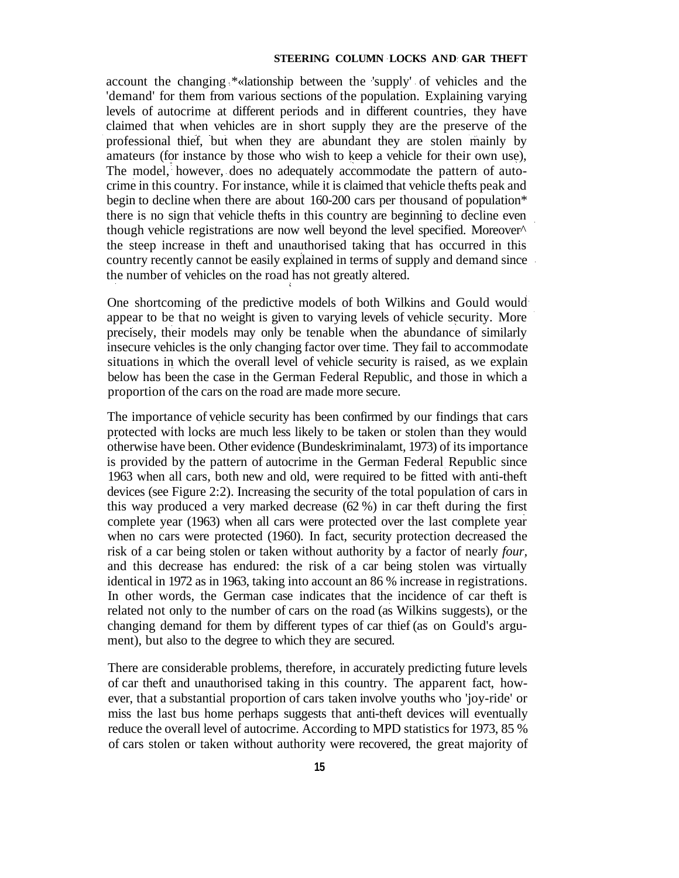#### **STEERING COLUMN LOCKS AND GAR THEFT**

account the changing \*«lationship between the 'supply' of vehicles and the 'demand' for them from various sections of the population. Explaining varying levels of autocrime at different periods and in different countries, they have claimed that when vehicles are in short supply they are the preserve of the professional thief, but when they are abundant they are stolen mainly by amateurs (for instance by those who wish to keep a vehicle for their own use), The model, however, does no adequately accommodate the pattern of autocrime in this country. For instance, while it is claimed that vehicle thefts peak and begin to decline when there are about 160-200 cars per thousand of population\* there is no sign that vehicle thefts in this country are beginning to decline even though vehicle registrations are now well beyond the level specified. Moreover^ the steep increase in theft and unauthorised taking that has occurred in this country recently cannot be easily explained in terms of supply and demand since the number of vehicles on the road has not greatly altered.

One shortcoming of the predictive models of both Wilkins and Gould would appear to be that no weight is given to varying levels of vehicle security. More precisely, their models may only be tenable when the abundance of similarly insecure vehicles is the only changing factor over time. They fail to accommodate situations in which the overall level of vehicle security is raised, as we explain below has been the case in the German Federal Republic, and those in which a proportion of the cars on the road are made more secure.

The importance of vehicle security has been confirmed by our findings that cars protected with locks are much less likely to be taken or stolen than they would otherwise have been. Other evidence (Bundeskriminalamt, 1973) of its importance is provided by the pattern of autocrime in the German Federal Republic since 1963 when all cars, both new and old, were required to be fitted with anti-theft devices (see Figure 2:2). Increasing the security of the total population of cars in this way produced a very marked decrease (62 %) in car theft during the first complete year (1963) when all cars were protected over the last complete year when no cars were protected (1960). In fact, security protection decreased the risk of a car being stolen or taken without authority by a factor of nearly *four,* and this decrease has endured: the risk of a car being stolen was virtually identical in 1972 as in 1963, taking into account an 86 % increase in registrations. In other words, the German case indicates that the incidence of car theft is related not only to the number of cars on the road (as Wilkins suggests), or the changing demand for them by different types of car thief (as on Gould's argument), but also to the degree to which they are secured.

There are considerable problems, therefore, in accurately predicting future levels of car theft and unauthorised taking in this country. The apparent fact, however, that a substantial proportion of cars taken involve youths who 'joy-ride' or miss the last bus home perhaps suggests that anti-theft devices will eventually reduce the overall level of autocrime. According to MPD statistics for 1973, 85 % of cars stolen or taken without authority were recovered, the great majority of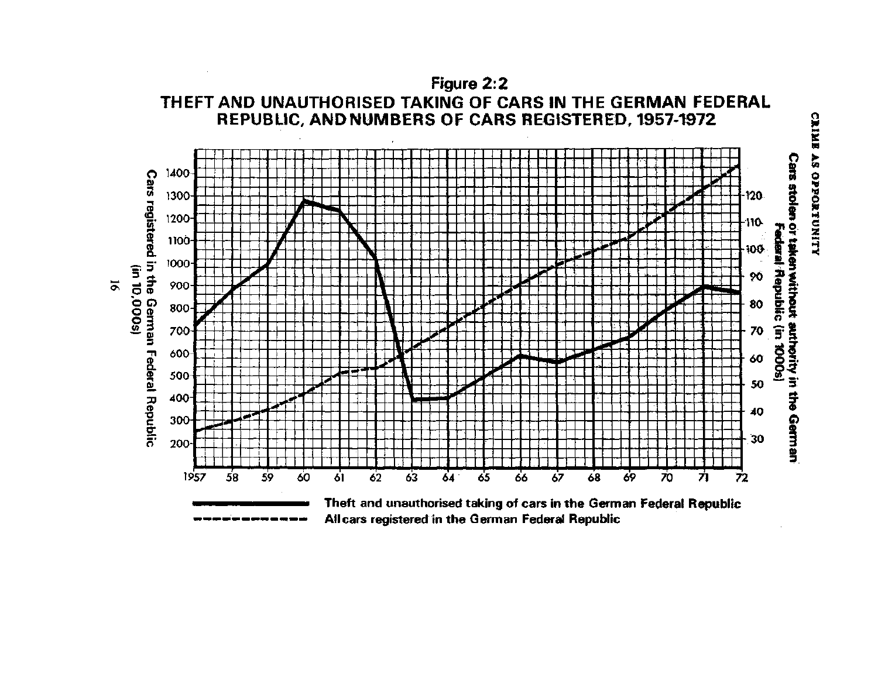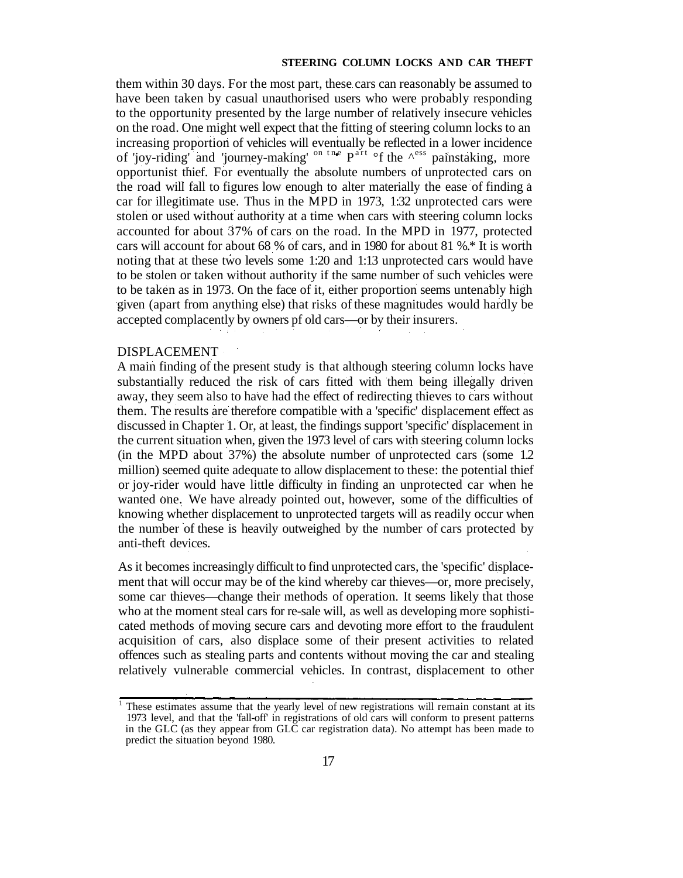### **STEERING COLUMN LOCKS AND CAR THEFT**

them within 30 days. For the most part, these cars can reasonably be assumed to have been taken by casual unauthorised users who were probably responding to the opportunity presented by the large number of relatively insecure vehicles on the road. One might well expect that the fitting of steering column locks to an increasing proportion of vehicles will eventually be reflected in a lower incidence of 'joy-riding' and 'journey-making' <sup>on the</sup>  $P^{\text{art of}}$  of the  $\wedge^{\text{ess}}$  painstaking, more opportunist thief. For eventually the absolute numbers of unprotected cars on the road will fall to figures low enough to alter materially the ease of finding a car for illegitimate use. Thus in the MPD in 1973, 1:32 unprotected cars were stolen or used without authority at a time when cars with steering column locks accounted for about 37% of cars on the road. In the MPD in 1977, protected cars will account for about 68 % of cars, and in 1980 for about 81 %.\* It is worth noting that at these two levels some 1:20 and 1:13 unprotected cars would have to be stolen or taken without authority if the same number of such vehicles were to be taken as in 1973. On the face of it, either proportion seems untenably high given (apart from anything else) that risks of these magnitudes would hardly be accepted complacently by owners pf old cars—or by their insurers.

## DISPLACEMENT

A main finding of the present study is that although steering column locks have substantially reduced the risk of cars fitted with them being illegally driven away, they seem also to have had the effect of redirecting thieves to cars without them. The results are therefore compatible with a 'specific' displacement effect as discussed in Chapter 1. Or, at least, the findings support 'specific' displacement in the current situation when, given the 1973 level of cars with steering column locks (in the MPD about 37%) the absolute number of unprotected cars (some 1.2 million) seemed quite adequate to allow displacement to these: the potential thief or joy-rider would have little difficulty in finding an unprotected car when he wanted one. We have already pointed out, however, some of the difficulties of knowing whether displacement to unprotected targets will as readily occur when the number of these is heavily outweighed by the number of cars protected by anti-theft devices.

As it becomes increasingly difficult to find unprotected cars, the 'specific' displacement that will occur may be of the kind whereby car thieves—or, more precisely, some car thieves—change their methods of operation. It seems likely that those who at the moment steal cars for re-sale will, as well as developing more sophisticated methods of moving secure cars and devoting more effort to the fraudulent acquisition of cars, also displace some of their present activities to related offences such as stealing parts and contents without moving the car and stealing relatively vulnerable commercial vehicles. In contrast, displacement to other

<sup>&</sup>lt;sup>1</sup> These estimates assume that the yearly level of new registrations will remain constant at its 1973 level, and that the 'fall-off' in registrations of old cars will conform to present patterns in the GLC (as they appear from GLC car registration data). No attempt has been made to predict the situation beyond 1980.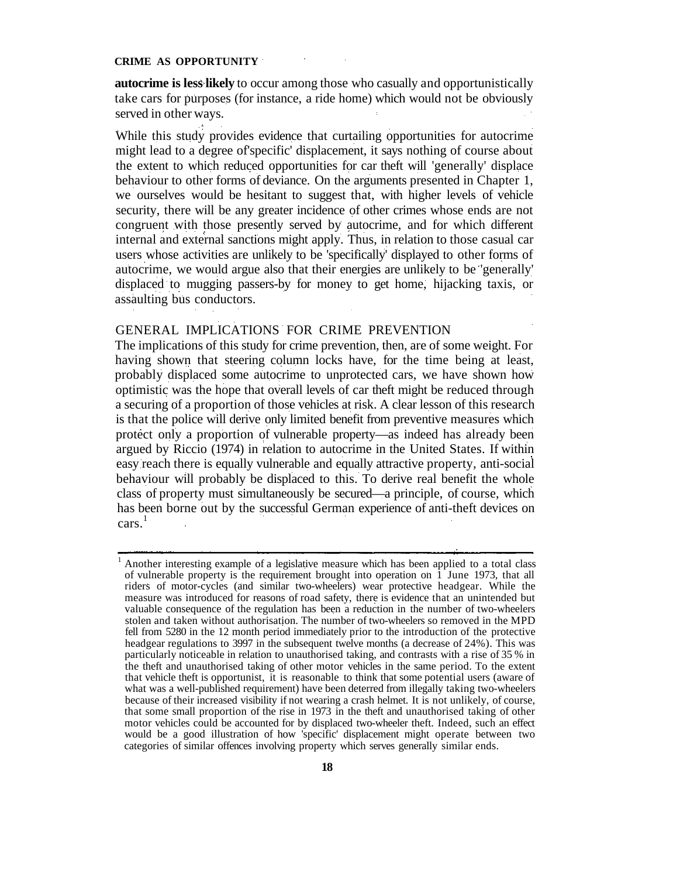**autocrime is less likely** to occur among those who casually and opportunistically take cars for purposes (for instance, a ride home) which would not be obviously served in other ways.

While this study provides evidence that curtailing opportunities for autocrime might lead to a degree of'specific' displacement, it says nothing of course about the extent to which reduced opportunities for car theft will 'generally' displace behaviour to other forms of deviance. On the arguments presented in Chapter 1, we ourselves would be hesitant to suggest that, with higher levels of vehicle security, there will be any greater incidence of other crimes whose ends are not congruent with those presently served by autocrime, and for which different internal and external sanctions might apply. Thus, in relation to those casual car users whose activities are unlikely to be 'specifically' displayed to other forms of autocrime, we would argue also that their energies are unlikely to be 'generally' displaced to mugging passers-by for money to get home, hijacking taxis, or assaulting bus conductors.

## GENERAL IMPLICATIONS FOR CRIME PREVENTION

The implications of this study for crime prevention, then, are of some weight. For having shown that steering column locks have, for the time being at least, probably displaced some autocrime to unprotected cars, we have shown how optimistic was the hope that overall levels of car theft might be reduced through a securing of a proportion of those vehicles at risk. A clear lesson of this research is that the police will derive only limited benefit from preventive measures which protect only a proportion of vulnerable property—as indeed has already been argued by Riccio (1974) in relation to autocrime in the United States. If within easy reach there is equally vulnerable and equally attractive property, anti-social behaviour will probably be displaced to this. To derive real benefit the whole class of property must simultaneously be secured—a principle, of course, which has been borne out by the successful German experience of anti-theft devices on  $cars.<sup>1</sup>$ 

 $<sup>1</sup>$  Another interesting example of a legislative measure which has been applied to a total class</sup> of vulnerable property is the requirement brought into operation on 1 June 1973, that all riders of motor-cycles (and similar two-wheelers) wear protective headgear. While the measure was introduced for reasons of road safety, there is evidence that an unintended but valuable consequence of the regulation has been a reduction in the number of two-wheelers stolen and taken without authorisation. The number of two-wheelers so removed in the MPD fell from 5280 in the 12 month period immediately prior to the introduction of the protective headgear regulations to 3997 in the subsequent twelve months (a decrease of 24%). This was particularly noticeable in relation to unauthorised taking, and contrasts with a rise of 35 % in the theft and unauthorised taking of other motor vehicles in the same period. To the extent that vehicle theft is opportunist, it is reasonable to think that some potential users (aware of what was a well-published requirement) have been deterred from illegally taking two-wheelers because of their increased visibility if not wearing a crash helmet. It is not unlikely, of course, that some small proportion of the rise in 1973 in the theft and unauthorised taking of other motor vehicles could be accounted for by displaced two-wheeler theft. Indeed, such an effect would be a good illustration of how 'specific' displacement might operate between two categories of similar offences involving property which serves generally similar ends.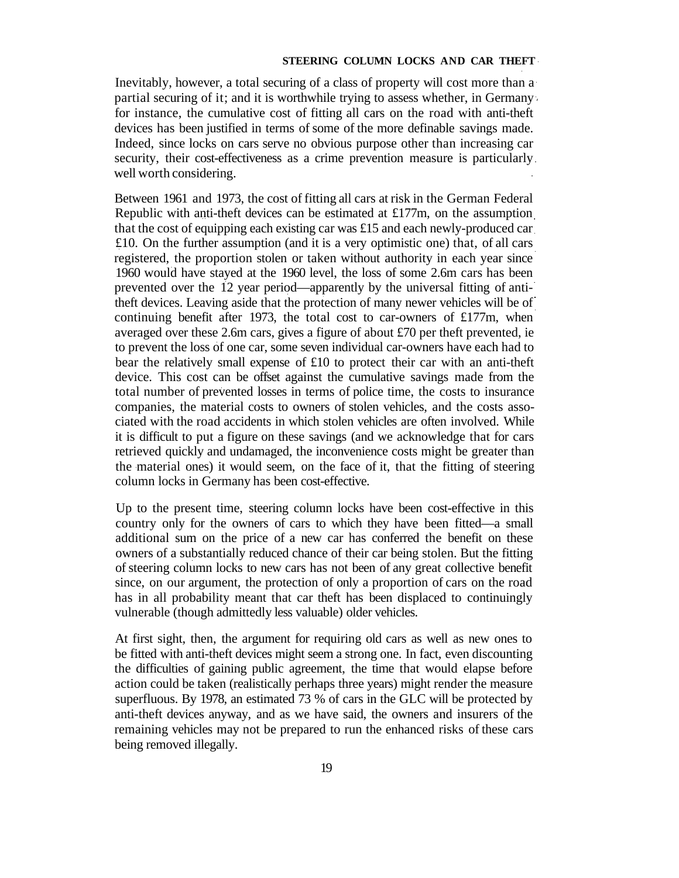### **STEERING COLUMN LOCKS AND CAR THEFT**

Inevitably, however, a total securing of a class of property will cost more than a partial securing of it; and it is worthwhile trying to assess whether, in Germany for instance, the cumulative cost of fitting all cars on the road with anti-theft devices has been justified in terms of some of the more definable savings made. Indeed, since locks on cars serve no obvious purpose other than increasing car security, their cost-effectiveness as a crime prevention measure is particularly. well worth considering.

Between 1961 and 1973, the cost of fitting all cars at risk in the German Federal Republic with anti-theft devices can be estimated at £177m, on the assumption that the cost of equipping each existing car was £15 and each newly-produced car £10. On the further assumption (and it is a very optimistic one) that, of all cars registered, the proportion stolen or taken without authority in each year since 1960 would have stayed at the 1960 level, the loss of some 2.6m cars has been prevented over the 12 year period—apparently by the universal fitting of antitheft devices. Leaving aside that the protection of many newer vehicles will be of continuing benefit after 1973, the total cost to car-owners of £177m, when averaged over these 2.6m cars, gives a figure of about £70 per theft prevented, ie to prevent the loss of one car, some seven individual car-owners have each had to bear the relatively small expense of £10 to protect their car with an anti-theft device. This cost can be offset against the cumulative savings made from the total number of prevented losses in terms of police time, the costs to insurance companies, the material costs to owners of stolen vehicles, and the costs associated with the road accidents in which stolen vehicles are often involved. While it is difficult to put a figure on these savings (and we acknowledge that for cars retrieved quickly and undamaged, the inconvenience costs might be greater than the material ones) it would seem, on the face of it, that the fitting of steering column locks in Germany has been cost-effective.

Up to the present time, steering column locks have been cost-effective in this country only for the owners of cars to which they have been fitted—a small additional sum on the price of a new car has conferred the benefit on these owners of a substantially reduced chance of their car being stolen. But the fitting of steering column locks to new cars has not been of any great collective benefit since, on our argument, the protection of only a proportion of cars on the road has in all probability meant that car theft has been displaced to continuingly vulnerable (though admittedly less valuable) older vehicles.

At first sight, then, the argument for requiring old cars as well as new ones to be fitted with anti-theft devices might seem a strong one. In fact, even discounting the difficulties of gaining public agreement, the time that would elapse before action could be taken (realistically perhaps three years) might render the measure superfluous. By 1978, an estimated 73 % of cars in the GLC will be protected by anti-theft devices anyway, and as we have said, the owners and insurers of the remaining vehicles may not be prepared to run the enhanced risks of these cars being removed illegally.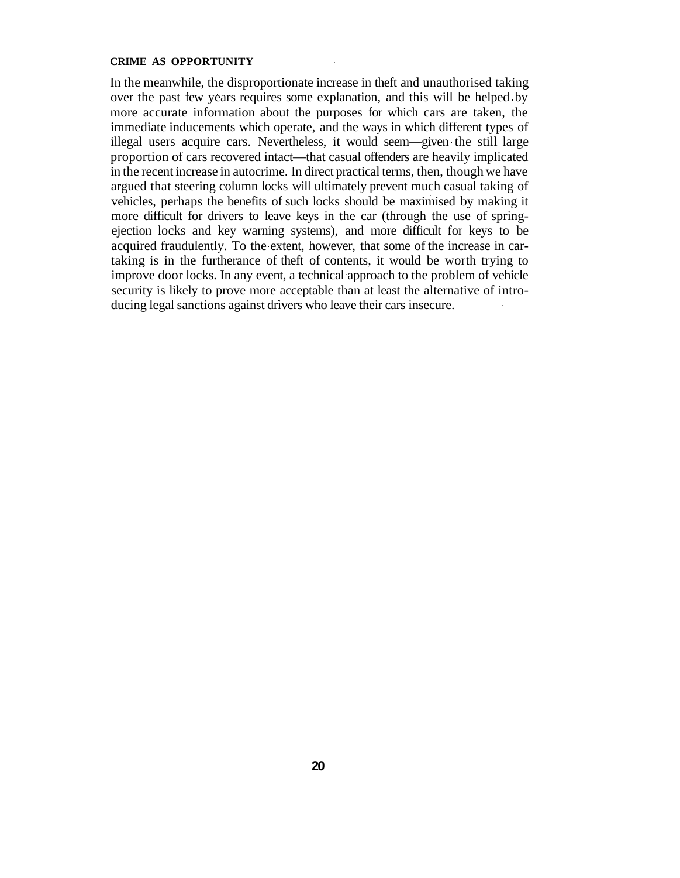In the meanwhile, the disproportionate increase in theft and unauthorised taking over the past few years requires some explanation, and this will be helped by more accurate information about the purposes for which cars are taken, the immediate inducements which operate, and the ways in which different types of illegal users acquire cars. Nevertheless, it would seem—given the still large proportion of cars recovered intact—that casual offenders are heavily implicated in the recent increase in autocrime. In direct practical terms, then, though we have argued that steering column locks will ultimately prevent much casual taking of vehicles, perhaps the benefits of such locks should be maximised by making it more difficult for drivers to leave keys in the car (through the use of springejection locks and key warning systems), and more difficult for keys to be acquired fraudulently. To the extent, however, that some of the increase in cartaking is in the furtherance of theft of contents, it would be worth trying to improve door locks. In any event, a technical approach to the problem of vehicle security is likely to prove more acceptable than at least the alternative of introducing legal sanctions against drivers who leave their cars insecure.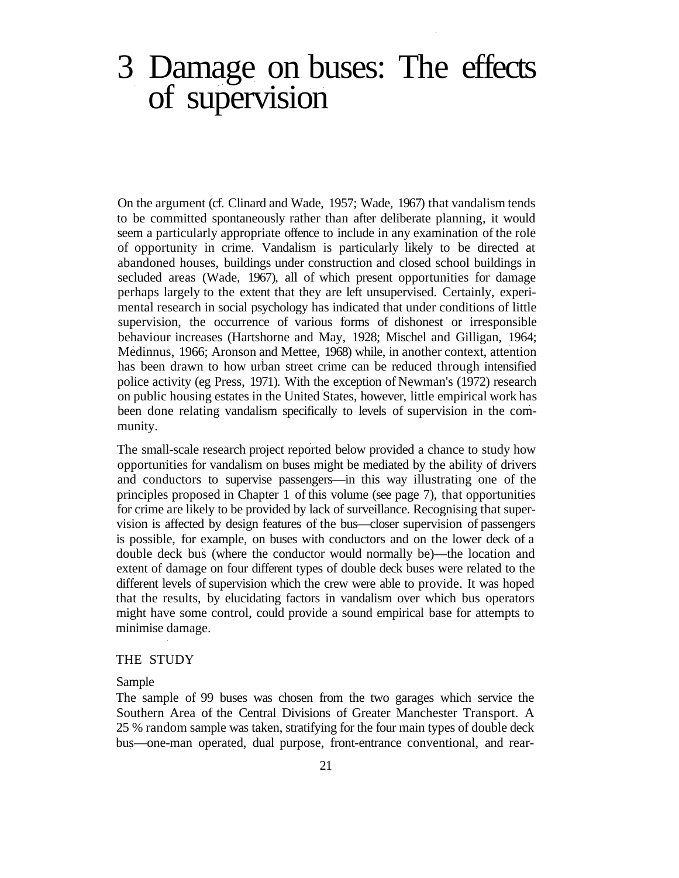## 3 Damage on buses: The effects of supervision

On the argument (cf. Clinard and Wade, 1957; Wade, 1967) that vandalism tends to be committed spontaneously rather than after deliberate planning, it would seem a particularly appropriate offence to include in any examination of the role of opportunity in crime. Vandalism is particularly likely to be directed at abandoned houses, buildings under construction and closed school buildings in secluded areas (Wade, 1967), all of which present opportunities for damage perhaps largely to the extent that they are left unsupervised. Certainly, experimental research in social psychology has indicated that under conditions of little supervision, the occurrence of various forms of dishonest or irresponsible behaviour increases (Hartshorne and May, 1928; Mischel and Gilligan, 1964; Medinnus, 1966; Aronson and Mettee, 1968) while, in another context, attention has been drawn to how urban street crime can be reduced through intensified police activity (eg Press, 1971). With the exception of Newman's (1972) research on public housing estates in the United States, however, little empirical work has been done relating vandalism specifically to levels of supervision in the community.

The small-scale research project reported below provided a chance to study how opportunities for vandalism on buses might be mediated by the ability of drivers and conductors to supervise passengers—in this way illustrating one of the principles proposed in Chapter 1 of this volume (see page 7), that opportunities for crime are likely to be provided by lack of surveillance. Recognising that supervision is affected by design features of the bus—closer supervision of passengers is possible, for example, on buses with conductors and on the lower deck of a double deck bus (where the conductor would normally be)—the location and extent of damage on four different types of double deck buses were related to the different levels of supervision which the crew were able to provide. It was hoped that the results, by elucidating factors in vandalism over which bus operators might have some control, could provide a sound empirical base for attempts to minimise damage.

## THE STUDY

#### Sample

The sample of 99 buses was chosen from the two garages which service the Southern Area of the Central Divisions of Greater Manchester Transport. A 25 % random sample was taken, stratifying for the four main types of double deck bus—one-man operated, dual purpose, front-entrance conventional, and rear-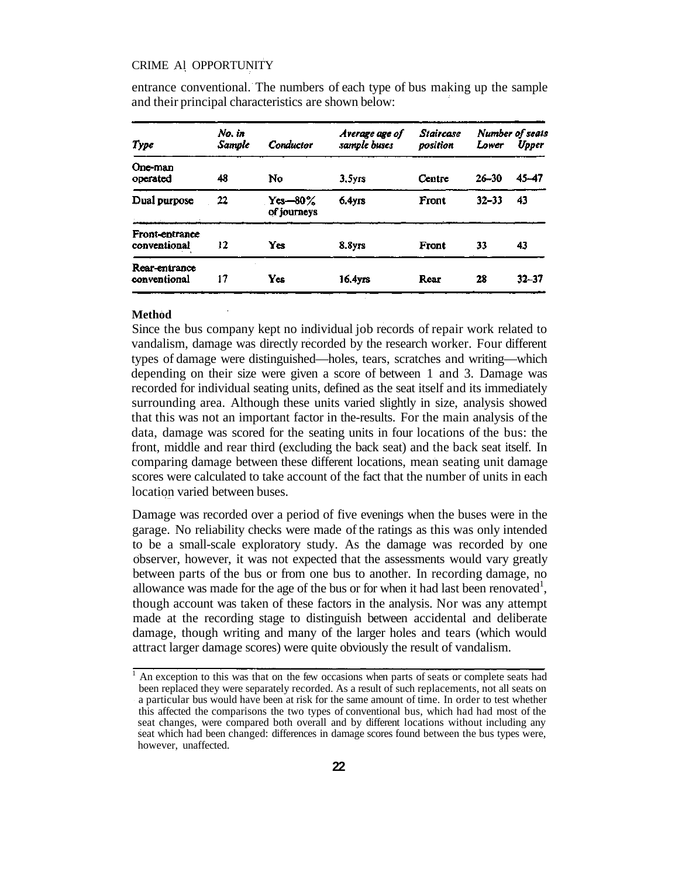entrance conventional. The numbers of each type of bus making up the sample and their principal characteristics are shown below:

| Type                           | No. in<br>Sample | Conductor                   | Average age of<br>sample buses | <b>Staircase</b><br>position | Lower     | Number of seats<br>Upper |
|--------------------------------|------------------|-----------------------------|--------------------------------|------------------------------|-----------|--------------------------|
| One-man<br>operated            | 48               | No                          | 3.5 <sub>yrs</sub>             | Centre                       | $26 - 30$ | $45 - 47$                |
| Dual purpose                   | 22               | $Yes - 80\%$<br>of journeys | 6.4yrs                         | Front                        | $32 - 33$ | 43                       |
| Front-entrance<br>conventional | 12               | Yes                         | 8.8yrs                         | Front                        | 33        | 43                       |
| Rear-entrance<br>conventional  | 17               | Yes                         | 16.4yrs                        | Rear                         | 28        | 32–37                    |

## **Method**

Since the bus company kept no individual job records of repair work related to vandalism, damage was directly recorded by the research worker. Four different types of damage were distinguished—holes, tears, scratches and writing—which depending on their size were given a score of between 1 and 3. Damage was recorded for individual seating units, defined as the seat itself and its immediately surrounding area. Although these units varied slightly in size, analysis showed that this was not an important factor in the-results. For the main analysis of the data, damage was scored for the seating units in four locations of the bus: the front, middle and rear third (excluding the back seat) and the back seat itself. In comparing damage between these different locations, mean seating unit damage scores were calculated to take account of the fact that the number of units in each location varied between buses.

Damage was recorded over a period of five evenings when the buses were in the garage. No reliability checks were made of the ratings as this was only intended to be a small-scale exploratory study. As the damage was recorded by one observer, however, it was not expected that the assessments would vary greatly between parts of the bus or from one bus to another. In recording damage, no allowance was made for the age of the bus or for when it had last been renovated<sup>1</sup>, though account was taken of these factors in the analysis. Nor was any attempt made at the recording stage to distinguish between accidental and deliberate damage, though writing and many of the larger holes and tears (which would attract larger damage scores) were quite obviously the result of vandalism.

<sup>1</sup> An exception to this was that on the few occasions when parts of seats or complete seats had been replaced they were separately recorded. As a result of such replacements, not all seats on a particular bus would have been at risk for the same amount of time. In order to test whether this affected the comparisons the two types of conventional bus, which had had most of the seat changes, were compared both overall and by different locations without including any seat which had been changed: differences in damage scores found between the bus types were, however, unaffected.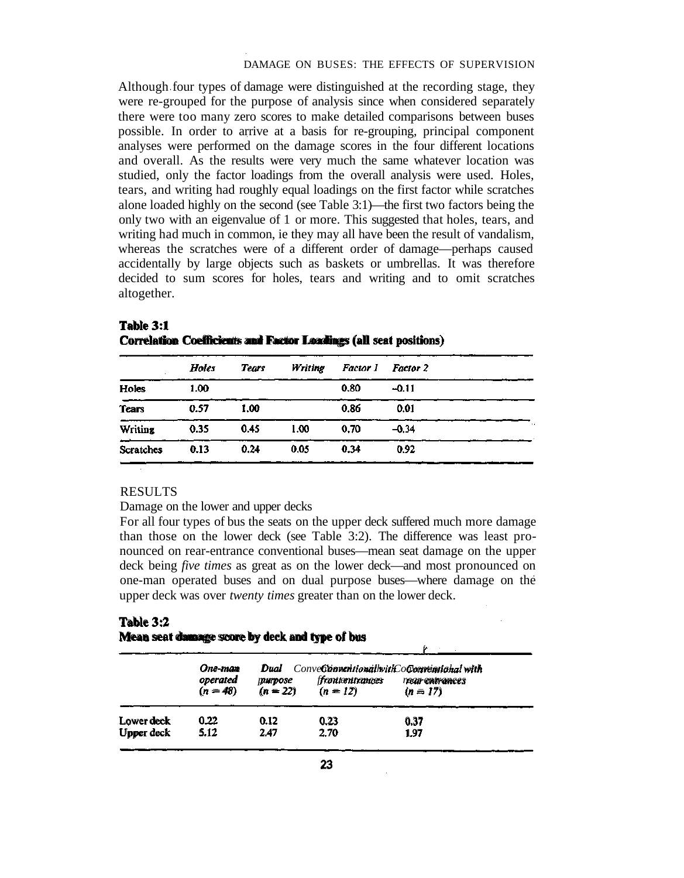## DAMAGE ON BUSES: THE EFFECTS OF SUPERVISION

Although four types of damage were distinguished at the recording stage, they were re-grouped for the purpose of analysis since when considered separately there were too many zero scores to make detailed comparisons between buses possible. In order to arrive at a basis for re-grouping, principal component analyses were performed on the damage scores in the four different locations and overall. As the results were very much the same whatever location was studied, only the factor loadings from the overall analysis were used. Holes, tears, and writing had roughly equal loadings on the first factor while scratches alone loaded highly on the second (see Table 3:1)—the first two factors being the only two with an eigenvalue of 1 or more. This suggested that holes, tears, and writing had much in common, ie they may all have been the result of vandalism, whereas the scratches were of a different order of damage—perhaps caused accidentally by large objects such as baskets or umbrellas. It was therefore decided to sum scores for holes, tears and writing and to omit scratches altogether.

|              | Holes | <b>Tears</b> | Writing | Factor 1 | Factor 2 |     |
|--------------|-------|--------------|---------|----------|----------|-----|
| Holes        | 1.00  |              |         | 0.80     | $-0.11$  |     |
| <b>Tears</b> | 0.57  | 1.00         |         | 0.86     | 0.01     |     |
| Writing      | 0.35  | 0.45         | 1.00    | 0.70     | $-0.34$  | . . |
| Scratches    | 0.13  | 0.24         | 0.05    | 0.34     | 0.92     |     |

## Table 3:1 Correlation Coefficients and Factor Loadings (all seat positions)

## RESULTS

Damage on the lower and upper decks

For all four types of bus the seats on the upper deck suffered much more damage than those on the lower deck (see Table 3:2). The difference was least pronounced on rear-entrance conventional buses—mean seat damage on the upper deck being *five times* as great as on the lower deck—and most pronounced on one-man operated buses and on dual purpose buses—where damage on the upper deck was over *twenty times* greater than on the lower deck.

## Table 3:2 Mean seat damage score by deck and type of bus

|            | One-man<br>operated<br>$(n = 48)$ | Dual<br><i>puurpose</i><br>$(n = 22)$ | <i>frontentinances</i><br>$(n = 12)$ | Conveciativentional with Coconventional with<br>mear entrances<br>$(n = 17)$ |  |
|------------|-----------------------------------|---------------------------------------|--------------------------------------|------------------------------------------------------------------------------|--|
| Lower deck | 0.22                              | 0.12                                  | 0.23                                 | 0.37                                                                         |  |
| Upper deck | 5.12                              | 2.47                                  | 2.70                                 | 11.97                                                                        |  |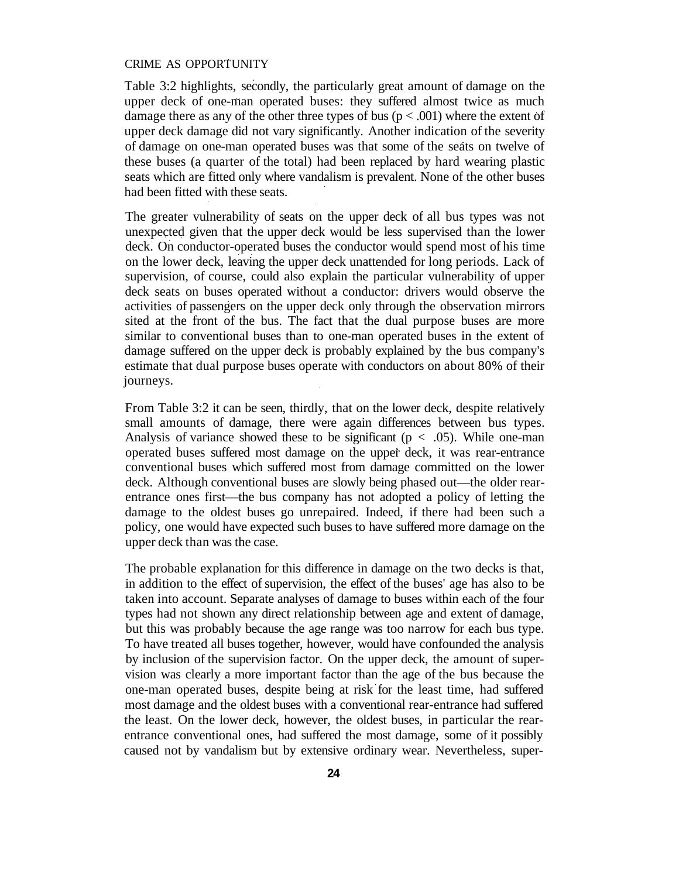Table 3:2 highlights, secondly, the particularly great amount of damage on the upper deck of one-man operated buses: they suffered almost twice as much damage there as any of the other three types of bus ( $p < .001$ ) where the extent of upper deck damage did not vary significantly. Another indication of the severity of damage on one-man operated buses was that some of the seats on twelve of these buses (a quarter of the total) had been replaced by hard wearing plastic seats which are fitted only where vandalism is prevalent. None of the other buses had been fitted with these seats.

The greater vulnerability of seats on the upper deck of all bus types was not unexpected given that the upper deck would be less supervised than the lower deck. On conductor-operated buses the conductor would spend most of his time on the lower deck, leaving the upper deck unattended for long periods. Lack of supervision, of course, could also explain the particular vulnerability of upper deck seats on buses operated without a conductor: drivers would observe the activities of passengers on the upper deck only through the observation mirrors sited at the front of the bus. The fact that the dual purpose buses are more similar to conventional buses than to one-man operated buses in the extent of damage suffered on the upper deck is probably explained by the bus company's estimate that dual purpose buses operate with conductors on about 80% of their journeys.

From Table 3:2 it can be seen, thirdly, that on the lower deck, despite relatively small amounts of damage, there were again differences between bus types. Analysis of variance showed these to be significant ( $p < .05$ ). While one-man operated buses suffered most damage on the upper deck, it was rear-entrance conventional buses which suffered most from damage committed on the lower deck. Although conventional buses are slowly being phased out—the older rearentrance ones first—the bus company has not adopted a policy of letting the damage to the oldest buses go unrepaired. Indeed, if there had been such a policy, one would have expected such buses to have suffered more damage on the upper deck than was the case.

The probable explanation for this difference in damage on the two decks is that, in addition to the effect of supervision, the effect of the buses' age has also to be taken into account. Separate analyses of damage to buses within each of the four types had not shown any direct relationship between age and extent of damage, but this was probably because the age range was too narrow for each bus type. To have treated all buses together, however, would have confounded the analysis by inclusion of the supervision factor. On the upper deck, the amount of supervision was clearly a more important factor than the age of the bus because the one-man operated buses, despite being at risk for the least time, had suffered most damage and the oldest buses with a conventional rear-entrance had suffered the least. On the lower deck, however, the oldest buses, in particular the rearentrance conventional ones, had suffered the most damage, some of it possibly caused not by vandalism but by extensive ordinary wear. Nevertheless, super-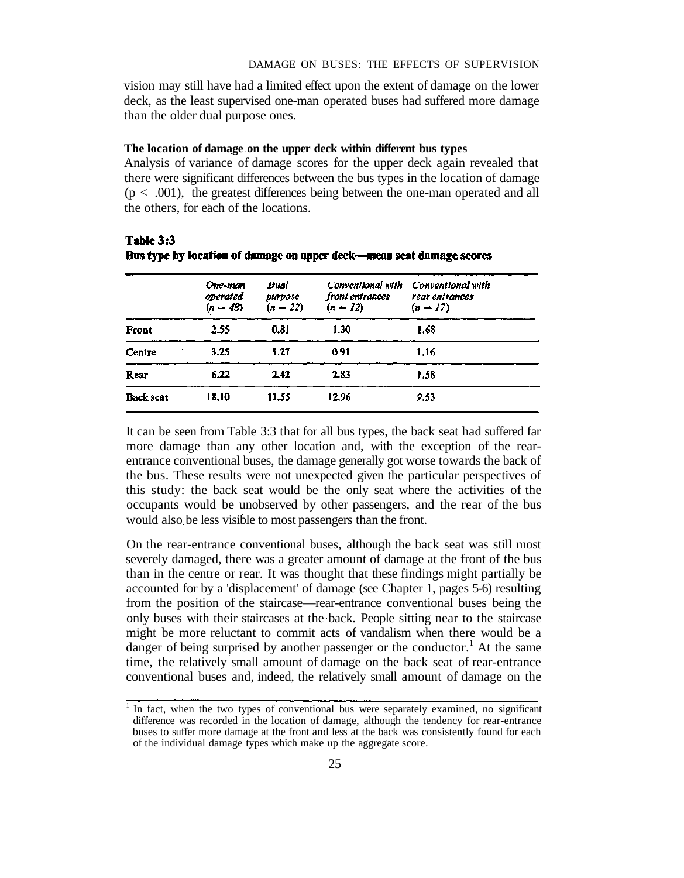## DAMAGE ON BUSES: THE EFFECTS OF SUPERVISION

vision may still have had a limited effect upon the extent of damage on the lower deck, as the least supervised one-man operated buses had suffered more damage than the older dual purpose ones.

#### **The location of damage on the upper deck within different bus types**

Analysis of variance of damage scores for the upper deck again revealed that there were significant differences between the bus types in the location of damage  $(p < .001)$ , the greatest differences being between the one-man operated and all the others, for each of the locations.

|                  | One-man<br>operated<br>$(n = 48)$ | Dual<br>purpose<br>$(n = 22)$ | front entrances<br>$(n = 12)$ | Conventional with Conventional with<br>rear entrances<br>$(n = 17)$ |
|------------------|-----------------------------------|-------------------------------|-------------------------------|---------------------------------------------------------------------|
| Front            | 2.55                              | 0.81                          | 1.30                          | 1.68                                                                |
| Centre           | 3.25                              | 1.27                          | 0.91                          | 1.16                                                                |
| Rear             | 6.22                              | 2.42                          | 2.83                          | 1.58                                                                |
| <b>Back seat</b> | 18.10                             | 11.55                         | 12.96                         | 9.53                                                                |

| Table 3:3                                                            |  |  |
|----------------------------------------------------------------------|--|--|
| Bus type by location of damage on upper deck-mean seat damage scores |  |  |

It can be seen from Table 3:3 that for all bus types, the back seat had suffered far more damage than any other location and, with the exception of the rearentrance conventional buses, the damage generally got worse towards the back of the bus. These results were not unexpected given the particular perspectives of this study: the back seat would be the only seat where the activities of the occupants would be unobserved by other passengers, and the rear of the bus would also be less visible to most passengers than the front.

On the rear-entrance conventional buses, although the back seat was still most severely damaged, there was a greater amount of damage at the front of the bus than in the centre or rear. It was thought that these findings might partially be accounted for by a 'displacement' of damage (see Chapter 1, pages 5-6) resulting from the position of the staircase—rear-entrance conventional buses being the only buses with their staircases at the back. People sitting near to the staircase might be more reluctant to commit acts of vandalism when there would be a danger of being surprised by another passenger or the conductor.<sup>1</sup> At the same time, the relatively small amount of damage on the back seat of rear-entrance conventional buses and, indeed, the relatively small amount of damage on the

 $1$  In fact, when the two types of conventional bus were separately examined, no significant difference was recorded in the location of damage, although the tendency for rear-entrance buses to suffer more damage at the front and less at the back was consistently found for each of the individual damage types which make up the aggregate score.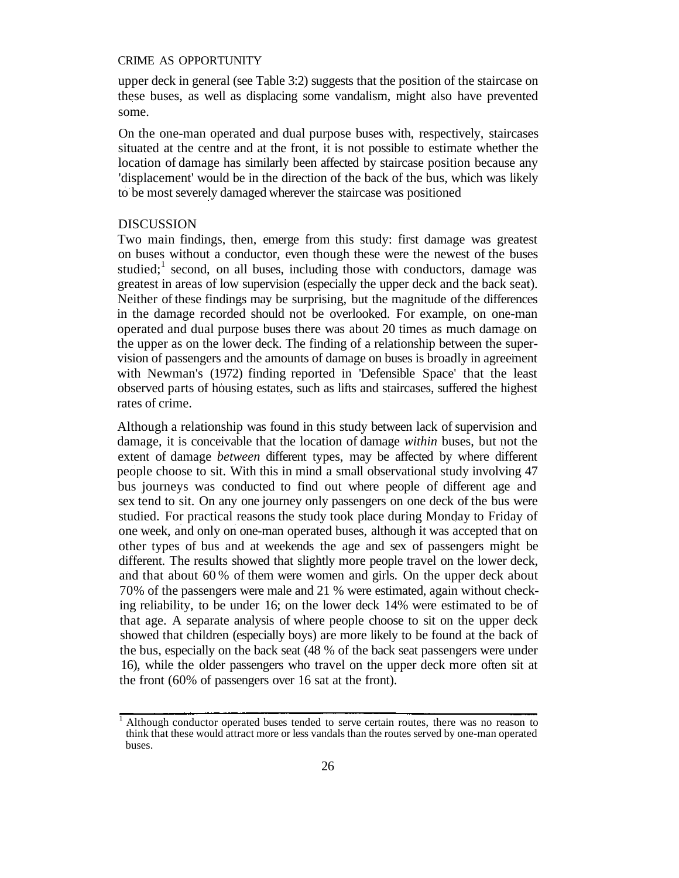upper deck in general (see Table 3:2) suggests that the position of the staircase on these buses, as well as displacing some vandalism, might also have prevented some.

On the one-man operated and dual purpose buses with, respectively, staircases situated at the centre and at the front, it is not possible to estimate whether the location of damage has similarly been affected by staircase position because any 'displacement' would be in the direction of the back of the bus, which was likely to be most severely damaged wherever the staircase was positioned

## DISCUSSION

Two main findings, then, emerge from this study: first damage was greatest on buses without a conductor, even though these were the newest of the buses studied;<sup>1</sup> second, on all buses, including those with conductors, damage was greatest in areas of low supervision (especially the upper deck and the back seat). Neither of these findings may be surprising, but the magnitude of the differences in the damage recorded should not be overlooked. For example, on one-man operated and dual purpose buses there was about 20 times as much damage on the upper as on the lower deck. The finding of a relationship between the supervision of passengers and the amounts of damage on buses is broadly in agreement with Newman's (1972) finding reported in 'Defensible Space' that the least observed parts of housing estates, such as lifts and staircases, suffered the highest rates of crime.

Although a relationship was found in this study between lack of supervision and damage, it is conceivable that the location of damage *within* buses, but not the extent of damage *between* different types, may be affected by where different people choose to sit. With this in mind a small observational study involving 47 bus journeys was conducted to find out where people of different age and sex tend to sit. On any one journey only passengers on one deck of the bus were studied. For practical reasons the study took place during Monday to Friday of one week, and only on one-man operated buses, although it was accepted that on other types of bus and at weekends the age and sex of passengers might be different. The results showed that slightly more people travel on the lower deck, and that about 60 % of them were women and girls. On the upper deck about 70% of the passengers were male and 21 % were estimated, again without checking reliability, to be under 16; on the lower deck 14% were estimated to be of that age. A separate analysis of where people choose to sit on the upper deck showed that children (especially boys) are more likely to be found at the back of the bus, especially on the back seat (48 % of the back seat passengers were under 16), while the older passengers who travel on the upper deck more often sit at the front (60% of passengers over 16 sat at the front).

<sup>&</sup>lt;sup>1</sup> Although conductor operated buses tended to serve certain routes, there was no reason to think that these would attract more or less vandals than the routes served by one-man operated buses.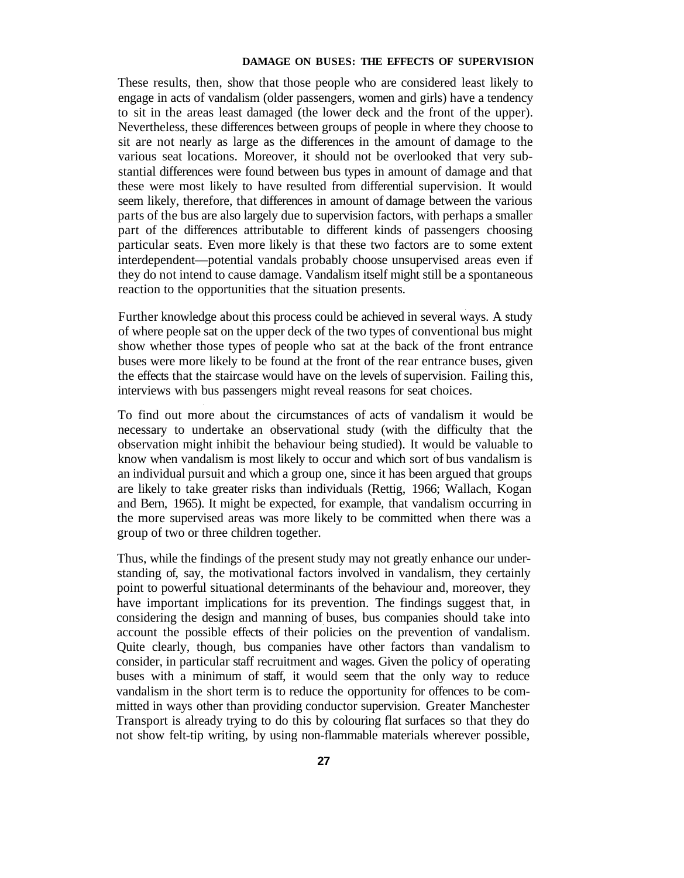#### **DAMAGE ON BUSES: THE EFFECTS OF SUPERVISION**

These results, then, show that those people who are considered least likely to engage in acts of vandalism (older passengers, women and girls) have a tendency to sit in the areas least damaged (the lower deck and the front of the upper). Nevertheless, these differences between groups of people in where they choose to sit are not nearly as large as the differences in the amount of damage to the various seat locations. Moreover, it should not be overlooked that very substantial differences were found between bus types in amount of damage and that these were most likely to have resulted from differential supervision. It would seem likely, therefore, that differences in amount of damage between the various parts of the bus are also largely due to supervision factors, with perhaps a smaller part of the differences attributable to different kinds of passengers choosing particular seats. Even more likely is that these two factors are to some extent interdependent—potential vandals probably choose unsupervised areas even if they do not intend to cause damage. Vandalism itself might still be a spontaneous reaction to the opportunities that the situation presents.

Further knowledge about this process could be achieved in several ways. A study of where people sat on the upper deck of the two types of conventional bus might show whether those types of people who sat at the back of the front entrance buses were more likely to be found at the front of the rear entrance buses, given the effects that the staircase would have on the levels of supervision. Failing this, interviews with bus passengers might reveal reasons for seat choices.

To find out more about the circumstances of acts of vandalism it would be necessary to undertake an observational study (with the difficulty that the observation might inhibit the behaviour being studied). It would be valuable to know when vandalism is most likely to occur and which sort of bus vandalism is an individual pursuit and which a group one, since it has been argued that groups are likely to take greater risks than individuals (Rettig, 1966; Wallach, Kogan and Bern, 1965). It might be expected, for example, that vandalism occurring in the more supervised areas was more likely to be committed when there was a group of two or three children together.

Thus, while the findings of the present study may not greatly enhance our understanding of, say, the motivational factors involved in vandalism, they certainly point to powerful situational determinants of the behaviour and, moreover, they have important implications for its prevention. The findings suggest that, in considering the design and manning of buses, bus companies should take into account the possible effects of their policies on the prevention of vandalism. Quite clearly, though, bus companies have other factors than vandalism to consider, in particular staff recruitment and wages. Given the policy of operating buses with a minimum of staff, it would seem that the only way to reduce vandalism in the short term is to reduce the opportunity for offences to be committed in ways other than providing conductor supervision. Greater Manchester Transport is already trying to do this by colouring flat surfaces so that they do not show felt-tip writing, by using non-flammable materials wherever possible,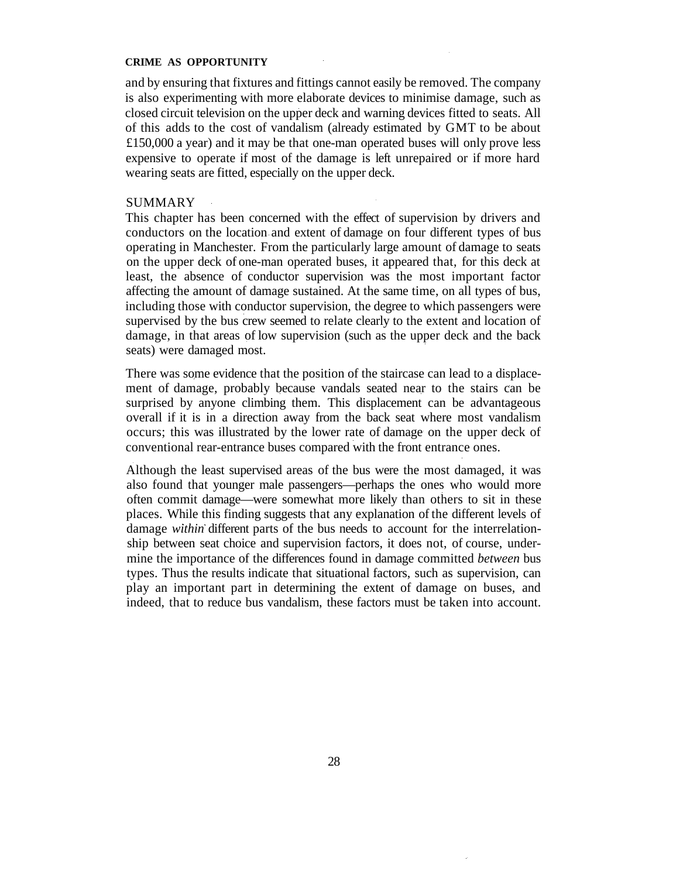and by ensuring that fixtures and fittings cannot easily be removed. The company is also experimenting with more elaborate devices to minimise damage, such as closed circuit television on the upper deck and warning devices fitted to seats. All of this adds to the cost of vandalism (already estimated by GMT to be about £150,000 a year) and it may be that one-man operated buses will only prove less expensive to operate if most of the damage is left unrepaired or if more hard wearing seats are fitted, especially on the upper deck.

## SUMMARY

This chapter has been concerned with the effect of supervision by drivers and conductors on the location and extent of damage on four different types of bus operating in Manchester. From the particularly large amount of damage to seats on the upper deck of one-man operated buses, it appeared that, for this deck at least, the absence of conductor supervision was the most important factor affecting the amount of damage sustained. At the same time, on all types of bus, including those with conductor supervision, the degree to which passengers were supervised by the bus crew seemed to relate clearly to the extent and location of damage, in that areas of low supervision (such as the upper deck and the back seats) were damaged most.

There was some evidence that the position of the staircase can lead to a displacement of damage, probably because vandals seated near to the stairs can be surprised by anyone climbing them. This displacement can be advantageous overall if it is in a direction away from the back seat where most vandalism occurs; this was illustrated by the lower rate of damage on the upper deck of conventional rear-entrance buses compared with the front entrance ones.

Although the least supervised areas of the bus were the most damaged, it was also found that younger male passengers—perhaps the ones who would more often commit damage—were somewhat more likely than others to sit in these places. While this finding suggests that any explanation of the different levels of damage *within* different parts of the bus needs to account for the interrelationship between seat choice and supervision factors, it does not, of course, undermine the importance of the differences found in damage committed *between* bus types. Thus the results indicate that situational factors, such as supervision, can play an important part in determining the extent of damage on buses, and indeed, that to reduce bus vandalism, these factors must be taken into account.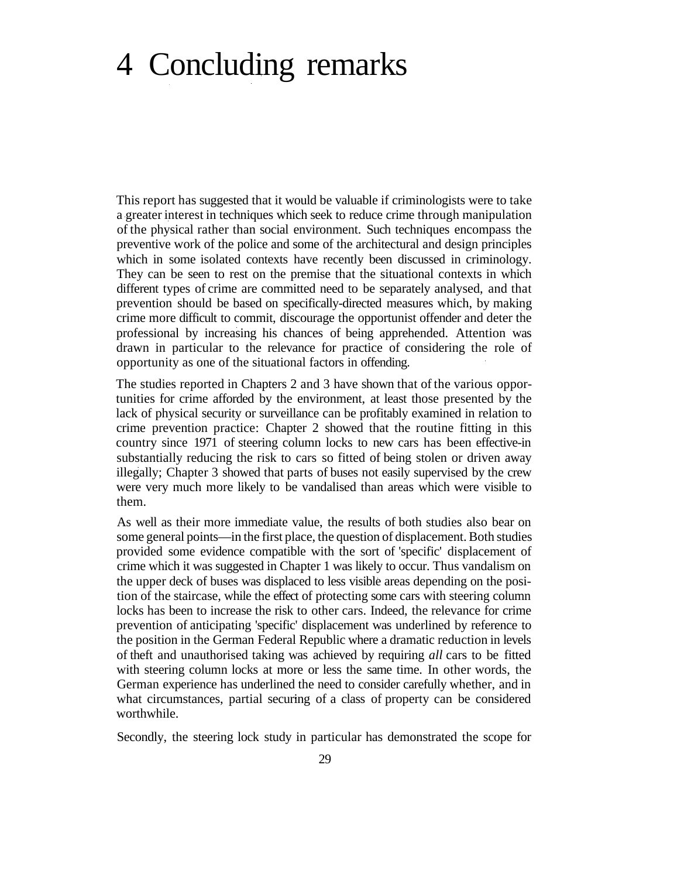## 4 Concluding remarks

This report has suggested that it would be valuable if criminologists were to take a greater interest in techniques which seek to reduce crime through manipulation of the physical rather than social environment. Such techniques encompass the preventive work of the police and some of the architectural and design principles which in some isolated contexts have recently been discussed in criminology. They can be seen to rest on the premise that the situational contexts in which different types of crime are committed need to be separately analysed, and that prevention should be based on specifically-directed measures which, by making crime more difficult to commit, discourage the opportunist offender and deter the professional by increasing his chances of being apprehended. Attention was drawn in particular to the relevance for practice of considering the role of opportunity as one of the situational factors in offending.

The studies reported in Chapters 2 and 3 have shown that of the various opportunities for crime afforded by the environment, at least those presented by the lack of physical security or surveillance can be profitably examined in relation to crime prevention practice: Chapter 2 showed that the routine fitting in this country since 1971 of steering column locks to new cars has been effective-in substantially reducing the risk to cars so fitted of being stolen or driven away illegally; Chapter 3 showed that parts of buses not easily supervised by the crew were very much more likely to be vandalised than areas which were visible to them.

As well as their more immediate value, the results of both studies also bear on some general points—in the first place, the question of displacement. Both studies provided some evidence compatible with the sort of 'specific' displacement of crime which it was suggested in Chapter 1 was likely to occur. Thus vandalism on the upper deck of buses was displaced to less visible areas depending on the position of the staircase, while the effect of protecting some cars with steering column locks has been to increase the risk to other cars. Indeed, the relevance for crime prevention of anticipating 'specific' displacement was underlined by reference to the position in the German Federal Republic where a dramatic reduction in levels of theft and unauthorised taking was achieved by requiring *all* cars to be fitted with steering column locks at more or less the same time. In other words, the German experience has underlined the need to consider carefully whether, and in what circumstances, partial securing of a class of property can be considered worthwhile.

Secondly, the steering lock study in particular has demonstrated the scope for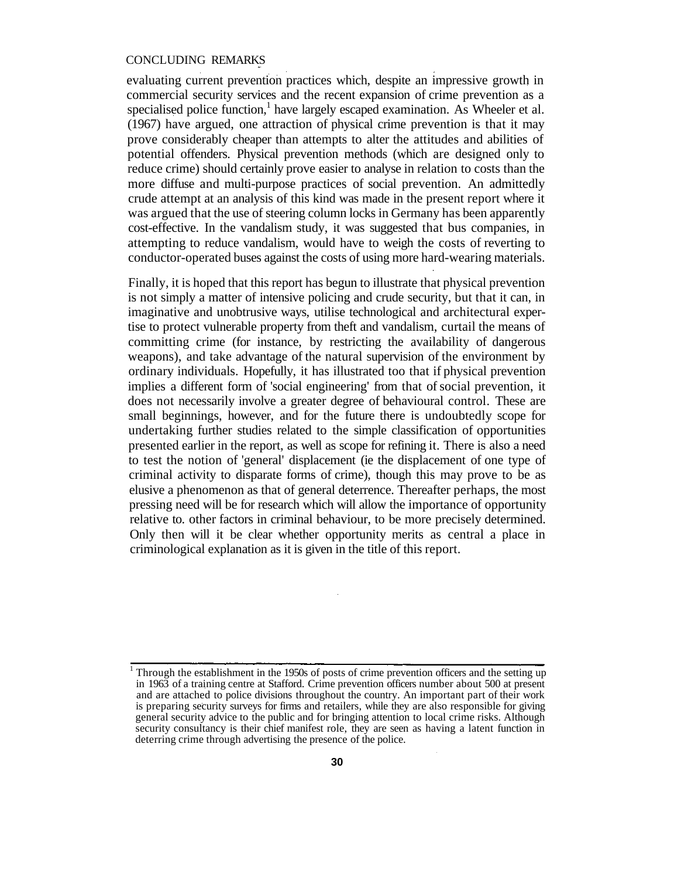## CONCLUDING REMARKS

evaluating current prevention practices which, despite an impressive growth in commercial security services and the recent expansion of crime prevention as a specialised police function,<sup>1</sup> have largely escaped examination. As Wheeler et al. (1967) have argued, one attraction of physical crime prevention is that it may prove considerably cheaper than attempts to alter the attitudes and abilities of potential offenders. Physical prevention methods (which are designed only to reduce crime) should certainly prove easier to analyse in relation to costs than the more diffuse and multi-purpose practices of social prevention. An admittedly crude attempt at an analysis of this kind was made in the present report where it was argued that the use of steering column locks in Germany has been apparently cost-effective. In the vandalism study, it was suggested that bus companies, in attempting to reduce vandalism, would have to weigh the costs of reverting to conductor-operated buses against the costs of using more hard-wearing materials.

Finally, it is hoped that this report has begun to illustrate that physical prevention is not simply a matter of intensive policing and crude security, but that it can, in imaginative and unobtrusive ways, utilise technological and architectural expertise to protect vulnerable property from theft and vandalism, curtail the means of committing crime (for instance, by restricting the availability of dangerous weapons), and take advantage of the natural supervision of the environment by ordinary individuals. Hopefully, it has illustrated too that if physical prevention implies a different form of 'social engineering' from that of social prevention, it does not necessarily involve a greater degree of behavioural control. These are small beginnings, however, and for the future there is undoubtedly scope for undertaking further studies related to the simple classification of opportunities presented earlier in the report, as well as scope for refining it. There is also a need to test the notion of 'general' displacement (ie the displacement of one type of criminal activity to disparate forms of crime), though this may prove to be as elusive a phenomenon as that of general deterrence. Thereafter perhaps, the most pressing need will be for research which will allow the importance of opportunity relative to. other factors in criminal behaviour, to be more precisely determined. Only then will it be clear whether opportunity merits as central a place in criminological explanation as it is given in the title of this report.

<sup>1</sup> Through the establishment in the 1950s of posts of crime prevention officers and the setting up in 1963 of a training centre at Stafford. Crime prevention officers number about 500 at present and are attached to police divisions throughout the country. An important part of their work is preparing security surveys for firms and retailers, while they are also responsible for giving general security advice to the public and for bringing attention to local crime risks. Although security consultancy is their chief manifest role, they are seen as having a latent function in deterring crime through advertising the presence of the police.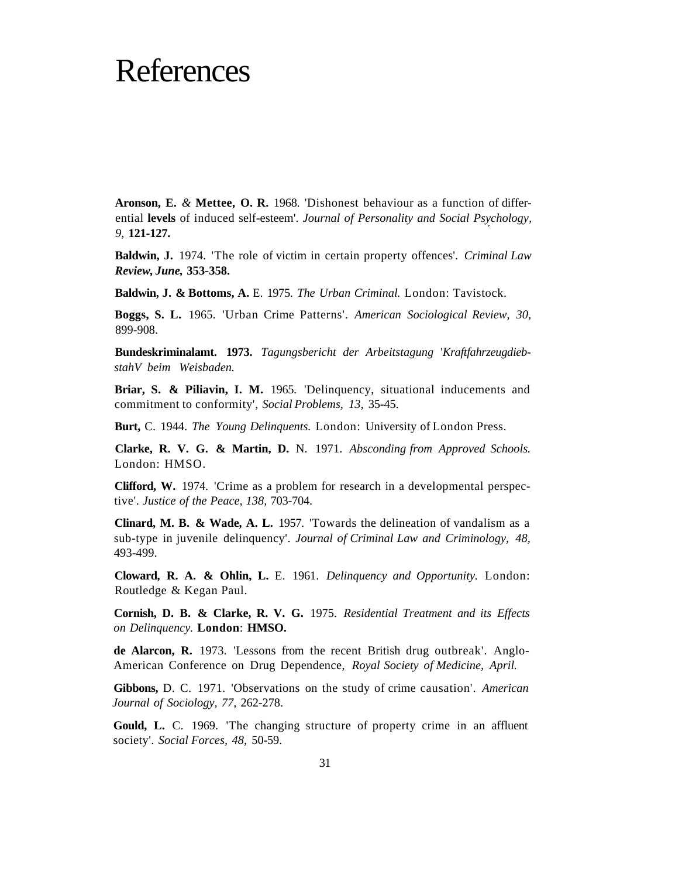## References

**Aronson, E.** *&* **Mettee, O. R.** 1968. 'Dishonest behaviour as a function of differential **levels** of induced self-esteem'. *Journal of Personality and Social Psychology, 9,* **121-127.**

**Baldwin, J.** 1974. 'The role of victim in certain property offences'. *Criminal Law Review, June,* **353-358.**

**Baldwin, J. & Bottoms, A.** E. 1975. *The Urban Criminal.* London: Tavistock.

**Boggs, S. L.** 1965. 'Urban Crime Patterns'. *American Sociological Review, 30,* 899-908.

**Bundeskriminalamt. 1973.** *Tagungsbericht der Arbeitstagung* '*KraftfahrzeugdiebstahV beim Weisbaden.*

**Briar, S. & Piliavin, I. M.** 1965. 'Delinquency, situational inducements and commitment to conformity', *Social Problems, 13,* 35-45.

**Burt,** C. 1944. *The Young Delinquents.* London: University of London Press.

**Clarke, R. V. G. & Martin, D.** N. 1971. *Absconding from Approved Schools.* London: HMSO.

**Clifford, W.** 1974. 'Crime as a problem for research in a developmental perspective'. *Justice of the Peace, 138,* 703-704.

**Clinard, M. B. & Wade, A. L.** 1957. 'Towards the delineation of vandalism as a sub-type in juvenile delinquency'. *Journal of Criminal Law and Criminology, 48,* 493-499.

**Cloward, R. A. & Ohlin, L.** E. 1961. *Delinquency and Opportunity.* London: Routledge & Kegan Paul.

**Cornish, D. B. & Clarke, R. V. G.** 1975. *Residential Treatment and its Effects on Delinquency.* **London**: **HMSO.**

**de Alarcon, R.** 1973. 'Lessons from the recent British drug outbreak'. Anglo-American Conference on Drug Dependence, *Royal Society of Medicine, April.*

**Gibbons,** D. C. 1971. 'Observations on the study of crime causation'. *American Journal of Sociology, 77,* 262-278.

**Gould, L.** C. 1969. 'The changing structure of property crime in an affluent society'. *Social Forces, 48,* 50-59.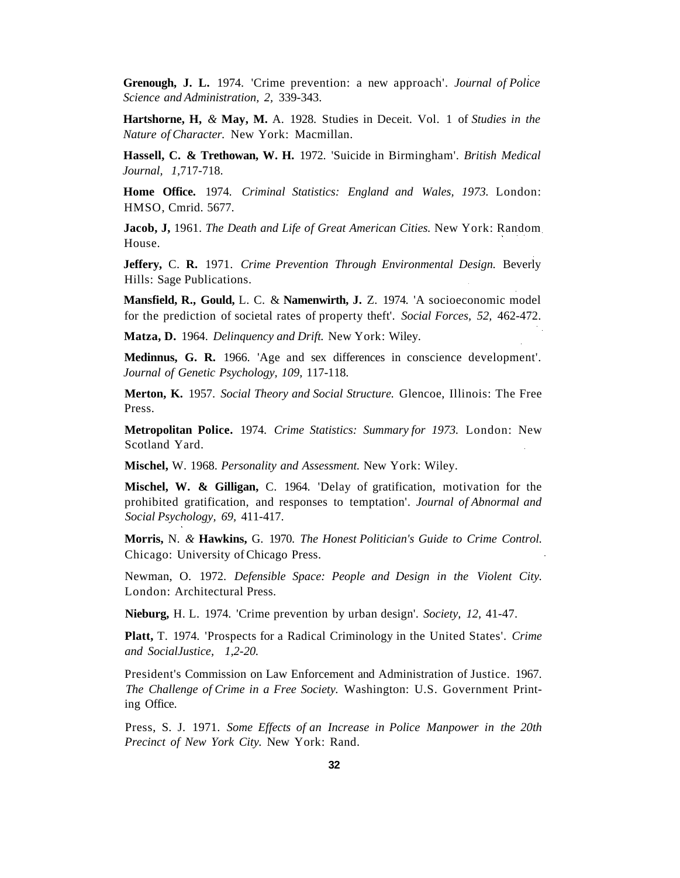**Grenough, J. L.** 1974. 'Crime prevention: a new approach'. *Journal of Police Science and Administration, 2,* 339-343.

**Hartshorne, H,** *&* **May, M.** A. 1928. Studies in Deceit. Vol. 1 of *Studies in the Nature of Character.* New York: Macmillan.

**Hassell, C. & Trethowan, W. H.** 1972. 'Suicide in Birmingham'. *British Medical Journal, 1,*717-718.

**Home Office.** 1974. *Criminal Statistics: England and Wales, 1973.* London: HMSO, Cmrid. 5677.

**Jacob, J,** 1961. *The Death and Life of Great American Cities.* New York: Random House.

**Jeffery,** C. **R.** 1971. *Crime Prevention Through Environmental Design.* Beverly Hills: Sage Publications.

**Mansfield, R., Gould,** L. C. & **Namenwirth, J.** Z. 1974. 'A socioeconomic model for the prediction of societal rates of property theft'. *Social Forces, 52,* 462-472.

**Matza, D.** 1964. *Delinquency and Drift.* New York: Wiley.

**Medinnus, G. R.** 1966. 'Age and sex differences in conscience development'. *Journal of Genetic Psychology, 109,* 117-118.

**Merton, K.** 1957. *Social Theory and Social Structure.* Glencoe, Illinois: The Free Press.

**Metropolitan Police.** 1974. *Crime Statistics: Summary for 1973.* London: New Scotland Yard.

**Mischel,** W. 1968. *Personality and Assessment.* New York: Wiley.

**Mischel, W. & Gilligan,** C. 1964. 'Delay of gratification, motivation for the prohibited gratification, and responses to temptation'. *Journal of Abnormal and Social Psychology, 69,* 411-417.

**Morris,** N. *&* **Hawkins,** G. 1970. *The Honest Politician's Guide to Crime Control.* Chicago: University of Chicago Press.

Newman, O. 1972. *Defensible Space: People and Design in the Violent City.* London: Architectural Press.

**Nieburg,** H. L. 1974. 'Crime prevention by urban design'. *Society, 12,* 41-47.

**Platt,** T. 1974. 'Prospects for a Radical Criminology in the United States'. *Crime and SocialJustice, 1,2-20.*

President's Commission on Law Enforcement and Administration of Justice. 1967. *The Challenge of Crime in a Free Society.* Washington: U.S. Government Printing Office.

Press, S. J. 1971. *Some Effects of an Increase in Police Manpower in the 20th Precinct of New York City.* New York: Rand.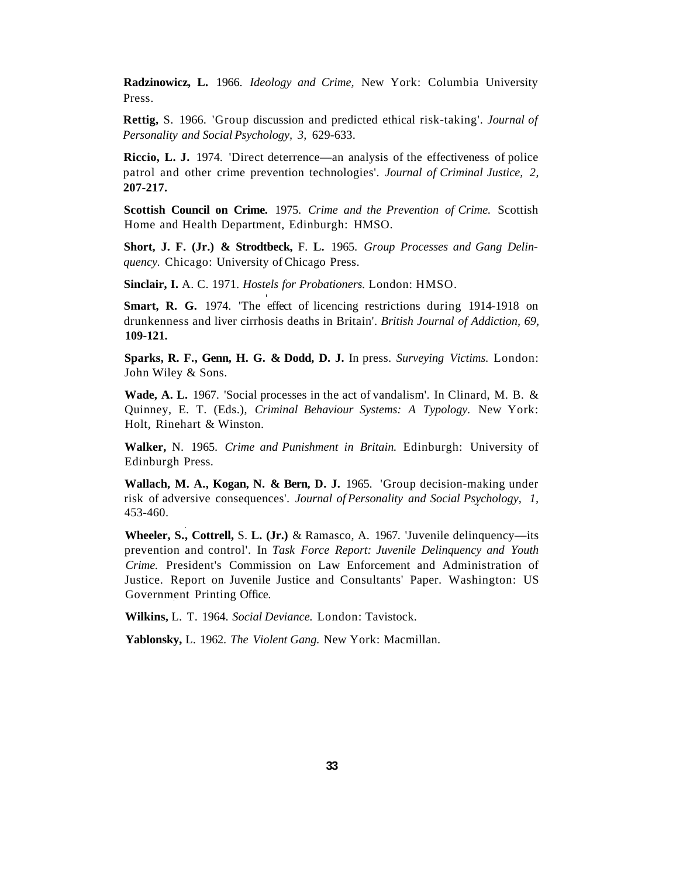**Radzinowicz, L.** 1966. *Ideology and Crime,* New York: Columbia University Press.

**Rettig,** S. 1966. 'Group discussion and predicted ethical risk-taking'. *Journal of Personality and Social Psychology, 3,* 629-633.

**Riccio, L. J.** 1974. 'Direct deterrence—an analysis of the effectiveness of police patrol and other crime prevention technologies'. *Journal of Criminal Justice, 2,* **207-217.**

**Scottish Council on Crime.** 1975. *Crime and the Prevention of Crime.* Scottish Home and Health Department, Edinburgh: HMSO.

**Short, J. F. (Jr.) & Strodtbeck,** F. **L.** 1965. *Group Processes and Gang Delinquency.* Chicago: University of Chicago Press.

**Sinclair, I.** A. C. 1971. *Hostels for Probationers.* London: HMSO.

**Smart, R. G.** 1974. The effect of licencing restrictions during 1914-1918 on drunkenness and liver cirrhosis deaths in Britain'. *British Journal of Addiction, 69,* **109-121.**

**Sparks, R. F., Genn, H. G. & Dodd, D. J.** In press. *Surveying Victims.* London: John Wiley & Sons.

**Wade, A. L.** 1967. 'Social processes in the act of vandalism'. In Clinard, M. B. & Quinney, E. T. (Eds.), *Criminal Behaviour Systems: A Typology.* New York: Holt, Rinehart & Winston.

**Walker,** N. 1965. *Crime and Punishment in Britain.* Edinburgh: University of Edinburgh Press.

**Wallach, M. A., Kogan, N. & Bern, D. J.** 1965. 'Group decision-making under risk of adversive consequences'. *Journal of Personality and Social Psychology, 1,* 453-460.

**Wheeler, S., Cottrell,** S. **L. (Jr.)** & Ramasco, A. 1967. 'Juvenile delinquency—its prevention and control'. In *Task Force Report: Juvenile Delinquency and Youth Crime.* President's Commission on Law Enforcement and Administration of Justice. Report on Juvenile Justice and Consultants' Paper. Washington: US Government Printing Office.

**Wilkins,** L. T. 1964. *Social Deviance.* London: Tavistock.

**Yablonsky,** L. 1962. *The Violent Gang.* New York: Macmillan.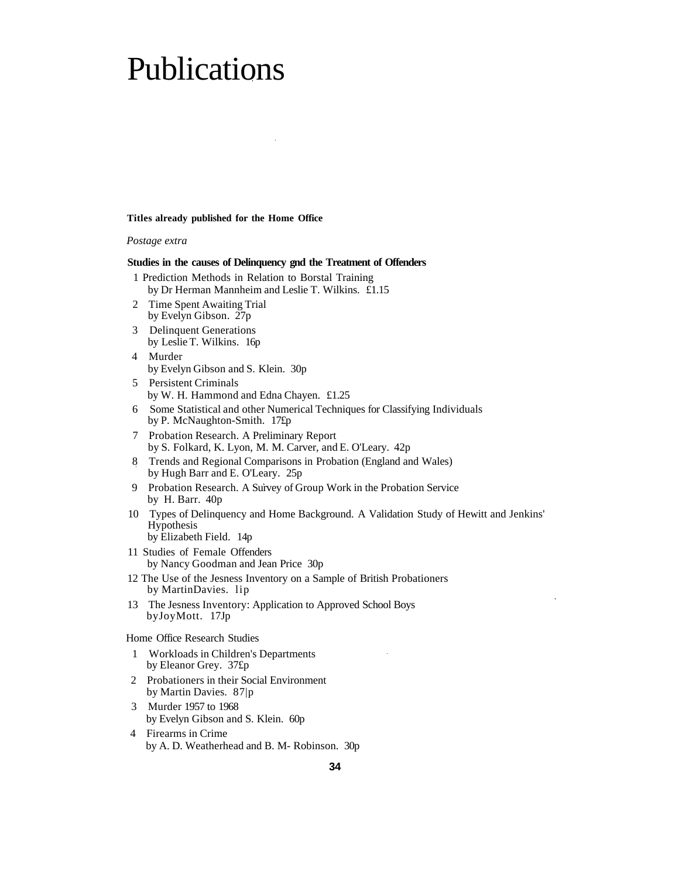## Publications

## **Titles already published for the Home Office**

 $\sim 10$ 

## *Postage extra*

|                | Studies in the causes of Delinquency gnd the Treatment of Offenders                                                          |
|----------------|------------------------------------------------------------------------------------------------------------------------------|
|                | 1 Prediction Methods in Relation to Borstal Training<br>by Dr Herman Mannheim and Leslie T. Wilkins. £1.15                   |
| $\overline{2}$ | Time Spent Awaiting Trial<br>by Evelyn Gibson. 27p                                                                           |
| 3              | <b>Delinquent Generations</b><br>by Leslie T. Wilkins. 16p                                                                   |
| 4              | Murder<br>by Evelyn Gibson and S. Klein. 30p                                                                                 |
| 5.             | <b>Persistent Criminals</b><br>by W. H. Hammond and Edna Chayen. £1.25                                                       |
| 6.             | Some Statistical and other Numerical Techniques for Classifying Individuals<br>by P. McNaughton-Smith. 17£p                  |
| 7              | Probation Research. A Preliminary Report<br>by S. Folkard, K. Lyon, M. M. Carver, and E. O'Leary. 42p                        |
| 8              | Trends and Regional Comparisons in Probation (England and Wales)<br>by Hugh Barr and E. O'Leary. 25p                         |
| 9              | Probation Research. A Survey of Group Work in the Probation Service<br>by H. Barr. 40p                                       |
| 10             | Types of Delinquency and Home Background. A Validation Study of Hewitt and Jenkins'<br>Hypothesis<br>by Elizabeth Field. 14p |
|                | 11 Studies of Female Offenders                                                                                               |
|                | by Nancy Goodman and Jean Price 30p                                                                                          |
|                | 12 The Use of the Jesness Inventory on a Sample of British Probationers<br>by MartinDavies. lip                              |
| 13             | The Jesness Inventory: Application to Approved School Boys<br>byJoyMott. 17Jp                                                |
|                | Home Office Research Studies                                                                                                 |
| $\mathbf{1}$   | Workloads in Children's Departments<br>by Eleanor Grey. 37£p                                                                 |
|                | 2 Probationers in their Social Environment<br>by Martin Davies. 87 p                                                         |
| 3              | Murder 1957 to 1968<br>by Evelyn Gibson and S. Klein. 60p                                                                    |
|                | 4 Firearms in Crime<br>by A. D. Weatherhead and B. M- Robinson. 30p                                                          |

 $\bar{z}$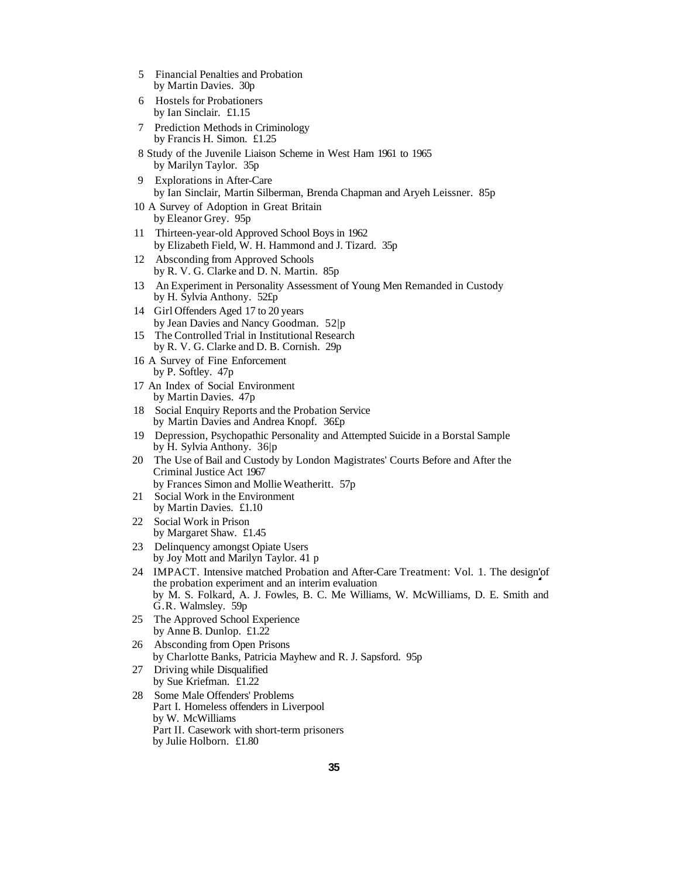- 5 Financial Penalties and Probation by Martin Davies. 30p
- 6 Hostels for Probationers by Ian Sinclair. £1.15
- 7 Prediction Methods in Criminology by Francis H. Simon. £1.25
- 8 Study of the Juvenile Liaison Scheme in West Ham 1961 to 1965 by Marilyn Taylor. 35p
- 9 Explorations in After-Care by Ian Sinclair, Martin Silberman, Brenda Chapman and Aryeh Leissner. 85p
- 10 A Survey of Adoption in Great Britain by Eleanor Grey. 95p
- 11 Thirteen-year-old Approved School Boys in 1962 by Elizabeth Field, W. H. Hammond and J. Tizard. 35p
- 12 Absconding from Approved Schools by R. V. G. Clarke and D. N. Martin. 85p
- 13 An Experiment in Personality Assessment of Young Men Remanded in Custody by H. Sylvia Anthony. 52£p
- 14 Girl Offenders Aged 17 to 20 years by Jean Davies and Nancy Goodman. 52|p
- 15 The Controlled Trial in Institutional Research by R. V. G. Clarke and D. B. Cornish. 29p
- 16 A Survey of Fine Enforcement by P. Softley. 47p
- 17 An Index of Social Environment by Martin Davies. 47p
- 18 Social Enquiry Reports and the Probation Service by Martin Davies and Andrea Knopf. 36£p
- 19 Depression, Psychopathic Personality and Attempted Suicide in a Borstal Sample by H. Sylvia Anthony. 36|p
- 20 The Use of Bail and Custody by London Magistrates' Courts Before and After the Criminal Justice Act 1967
	- by Frances Simon and Mollie Weatheritt. 57p
- 21 Social Work in the Environment by Martin Davies. £1.10
- 22 Social Work in Prison by Margaret Shaw. £1.45
- 23 Delinquency amongst Opiate Users by Joy Mott and Marilyn Taylor. 41 p
- 24 IMPACT. Intensive matched Probation and After-Care Treatment: Vol. 1. The design'of the probation experiment and an interim evaluation by M. S. Folkard, A. J. Fowles, B. C. Me Williams, W. McWilliams, D. E. Smith and G.R. Walmsley. 59p
- 25 The Approved School Experience by Anne B. Dunlop. £1.22
- 26 Absconding from Open Prisons by Charlotte Banks, Patricia Mayhew and R. J. Sapsford. 95p
- 27 Driving while Disqualified by Sue Kriefman. £1.22
- 28 Some Male Offenders' Problems Part I. Homeless offenders in Liverpool by W. McWilliams Part II. Casework with short-term prisoners by Julie Holborn. £1.80